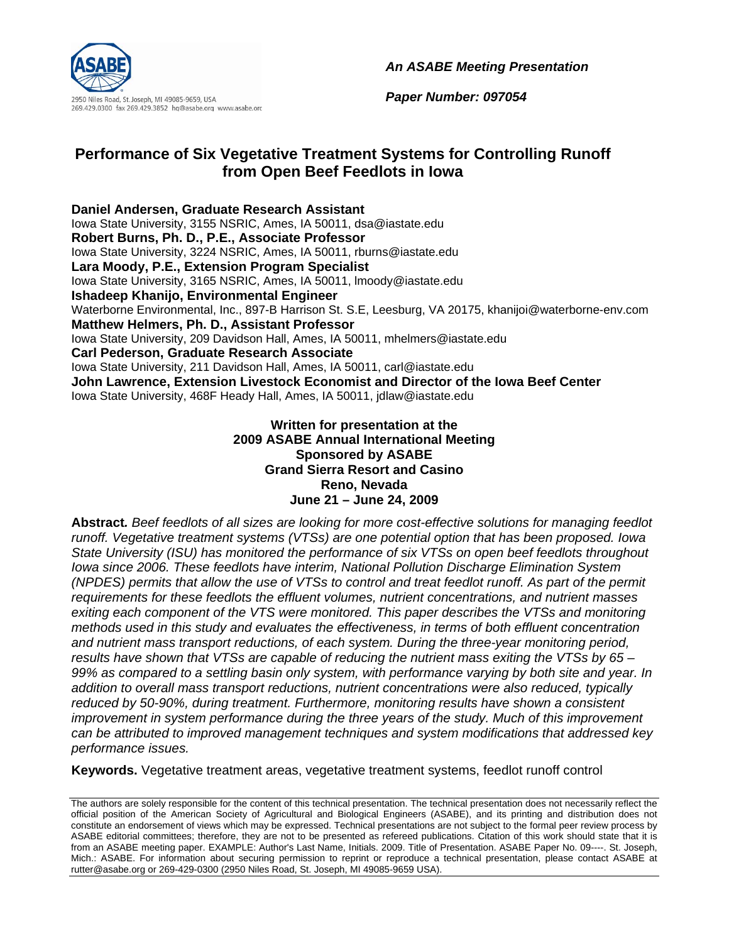

*An ASABE Meeting Presentation*

*Paper Number: 097054*

# **Performance of Six Vegetative Treatment Systems for Controlling Runoff from Open Beef Feedlots in Iowa**

**Daniel Andersen, Graduate Research Assistant**  Iowa State University, 3155 NSRIC, Ames, IA 50011, dsa@iastate.edu **Robert Burns, Ph. D., P.E., Associate Professor**  Iowa State University, 3224 NSRIC, Ames, IA 50011, rburns@iastate.edu **Lara Moody, P.E., Extension Program Specialist**  Iowa State University, 3165 NSRIC, Ames, IA 50011, lmoody@iastate.edu **Ishadeep Khanijo, Environmental Engineer**  Waterborne Environmental, Inc., 897-B Harrison St. S.E, Leesburg, VA 20175, khanijoi@waterborne-env.com **Matthew Helmers, Ph. D., Assistant Professor**  Iowa State University, 209 Davidson Hall, Ames, IA 50011, mhelmers@iastate.edu **Carl Pederson, Graduate Research Associate**  Iowa State University, 211 Davidson Hall, Ames, IA 50011, carl@iastate.edu **John Lawrence, Extension Livestock Economist and Director of the Iowa Beef Center**  Iowa State University, 468F Heady Hall, Ames, IA 50011, jdlaw@iastate.edu

#### **Written for presentation at the 2009 ASABE Annual International Meeting Sponsored by ASABE Grand Sierra Resort and Casino Reno, Nevada June 21 – June 24, 2009**

**Abstract***. Beef feedlots of all sizes are looking for more cost-effective solutions for managing feedlot runoff. Vegetative treatment systems (VTSs) are one potential option that has been proposed. Iowa State University (ISU) has monitored the performance of six VTSs on open beef feedlots throughout Iowa since 2006. These feedlots have interim, National Pollution Discharge Elimination System (NPDES) permits that allow the use of VTSs to control and treat feedlot runoff. As part of the permit requirements for these feedlots the effluent volumes, nutrient concentrations, and nutrient masses exiting each component of the VTS were monitored. This paper describes the VTSs and monitoring methods used in this study and evaluates the effectiveness, in terms of both effluent concentration and nutrient mass transport reductions, of each system. During the three-year monitoring period, results have shown that VTSs are capable of reducing the nutrient mass exiting the VTSs by 65 – 99% as compared to a settling basin only system, with performance varying by both site and year. In addition to overall mass transport reductions, nutrient concentrations were also reduced, typically reduced by 50-90%, during treatment. Furthermore, monitoring results have shown a consistent improvement in system performance during the three years of the study. Much of this improvement can be attributed to improved management techniques and system modifications that addressed key performance issues.* 

**Keywords.** Vegetative treatment areas, vegetative treatment systems, feedlot runoff control

The authors are solely responsible for the content of this technical presentation. The technical presentation does not necessarily reflect the official position of the American Society of Agricultural and Biological Engineers (ASABE), and its printing and distribution does not constitute an endorsement of views which may be expressed. Technical presentations are not subject to the formal peer review process by ASABE editorial committees; therefore, they are not to be presented as refereed publications. Citation of this work should state that it is from an ASABE meeting paper. EXAMPLE: Author's Last Name, Initials. 2009. Title of Presentation. ASABE Paper No. 09----. St. Joseph, Mich.: ASABE. For information about securing permission to reprint or reproduce a technical presentation, please contact ASABE at rutter@asabe.org or 269-429-0300 (2950 Niles Road, St. Joseph, MI 49085-9659 USA).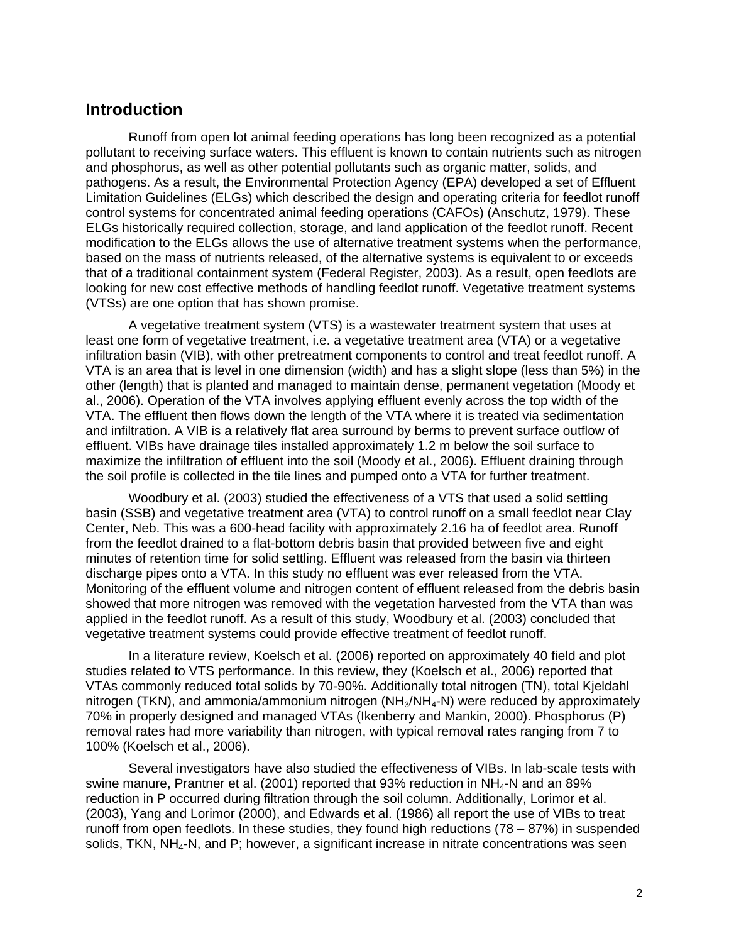# **Introduction**

Runoff from open lot animal feeding operations has long been recognized as a potential pollutant to receiving surface waters. This effluent is known to contain nutrients such as nitrogen and phosphorus, as well as other potential pollutants such as organic matter, solids, and pathogens. As a result, the Environmental Protection Agency (EPA) developed a set of Effluent Limitation Guidelines (ELGs) which described the design and operating criteria for feedlot runoff control systems for concentrated animal feeding operations (CAFOs) (Anschutz, 1979). These ELGs historically required collection, storage, and land application of the feedlot runoff. Recent modification to the ELGs allows the use of alternative treatment systems when the performance, based on the mass of nutrients released, of the alternative systems is equivalent to or exceeds that of a traditional containment system (Federal Register, 2003). As a result, open feedlots are looking for new cost effective methods of handling feedlot runoff. Vegetative treatment systems (VTSs) are one option that has shown promise.

A vegetative treatment system (VTS) is a wastewater treatment system that uses at least one form of vegetative treatment, i.e. a vegetative treatment area (VTA) or a vegetative infiltration basin (VIB), with other pretreatment components to control and treat feedlot runoff. A VTA is an area that is level in one dimension (width) and has a slight slope (less than 5%) in the other (length) that is planted and managed to maintain dense, permanent vegetation (Moody et al., 2006). Operation of the VTA involves applying effluent evenly across the top width of the VTA. The effluent then flows down the length of the VTA where it is treated via sedimentation and infiltration. A VIB is a relatively flat area surround by berms to prevent surface outflow of effluent. VIBs have drainage tiles installed approximately 1.2 m below the soil surface to maximize the infiltration of effluent into the soil (Moody et al., 2006). Effluent draining through the soil profile is collected in the tile lines and pumped onto a VTA for further treatment.

 Woodbury et al. (2003) studied the effectiveness of a VTS that used a solid settling basin (SSB) and vegetative treatment area (VTA) to control runoff on a small feedlot near Clay Center, Neb. This was a 600-head facility with approximately 2.16 ha of feedlot area. Runoff from the feedlot drained to a flat-bottom debris basin that provided between five and eight minutes of retention time for solid settling. Effluent was released from the basin via thirteen discharge pipes onto a VTA. In this study no effluent was ever released from the VTA. Monitoring of the effluent volume and nitrogen content of effluent released from the debris basin showed that more nitrogen was removed with the vegetation harvested from the VTA than was applied in the feedlot runoff. As a result of this study, Woodbury et al. (2003) concluded that vegetative treatment systems could provide effective treatment of feedlot runoff.

 In a literature review, Koelsch et al. (2006) reported on approximately 40 field and plot studies related to VTS performance. In this review, they (Koelsch et al., 2006) reported that VTAs commonly reduced total solids by 70-90%. Additionally total nitrogen (TN), total Kjeldahl nitrogen (TKN), and ammonia/ammonium nitrogen (NH<sub>3</sub>/NH<sub>4</sub>-N) were reduced by approximately 70% in properly designed and managed VTAs (Ikenberry and Mankin, 2000). Phosphorus (P) removal rates had more variability than nitrogen, with typical removal rates ranging from 7 to 100% (Koelsch et al., 2006).

Several investigators have also studied the effectiveness of VIBs. In lab-scale tests with swine manure, Prantner et al. (2001) reported that 93% reduction in  $NH<sub>4</sub>$ -N and an 89% reduction in P occurred during filtration through the soil column. Additionally, Lorimor et al. (2003), Yang and Lorimor (2000), and Edwards et al. (1986) all report the use of VIBs to treat runoff from open feedlots. In these studies, they found high reductions (78 – 87%) in suspended solids, TKN,  $NH<sub>4</sub>$ -N, and P; however, a significant increase in nitrate concentrations was seen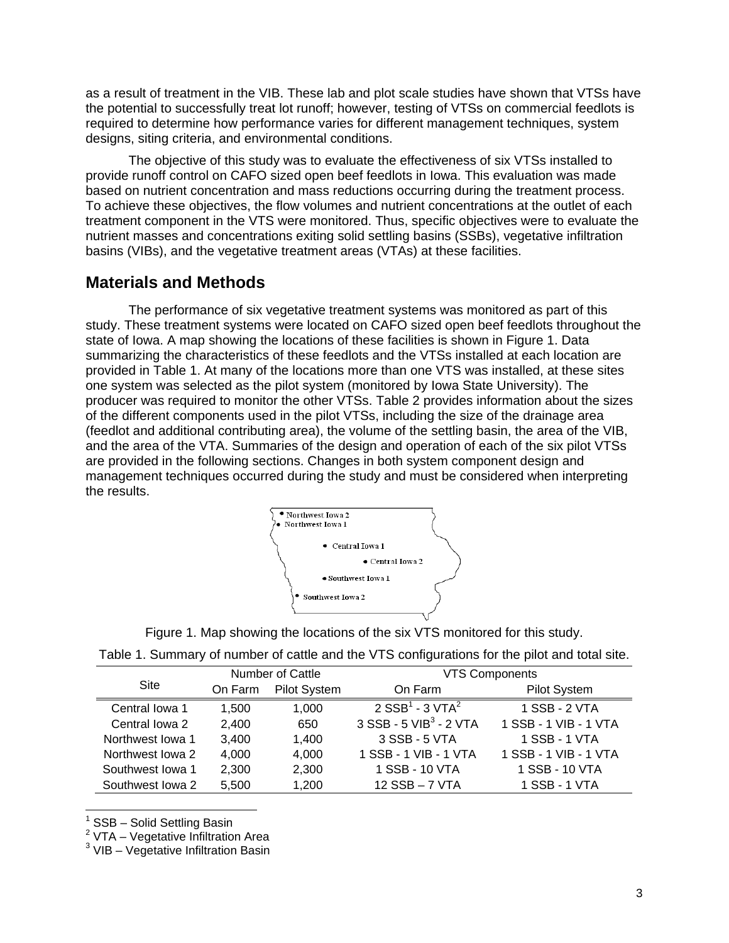as a result of treatment in the VIB. These lab and plot scale studies have shown that VTSs have the potential to successfully treat lot runoff; however, testing of VTSs on commercial feedlots is required to determine how performance varies for different management techniques, system designs, siting criteria, and environmental conditions.

The objective of this study was to evaluate the effectiveness of six VTSs installed to provide runoff control on CAFO sized open beef feedlots in Iowa. This evaluation was made based on nutrient concentration and mass reductions occurring during the treatment process. To achieve these objectives, the flow volumes and nutrient concentrations at the outlet of each treatment component in the VTS were monitored. Thus, specific objectives were to evaluate the nutrient masses and concentrations exiting solid settling basins (SSBs), vegetative infiltration basins (VIBs), and the vegetative treatment areas (VTAs) at these facilities.

# **Materials and Methods**

 The performance of six vegetative treatment systems was monitored as part of this study. These treatment systems were located on CAFO sized open beef feedlots throughout the state of Iowa. A map showing the locations of these facilities is shown in Figure 1. Data summarizing the characteristics of these feedlots and the VTSs installed at each location are provided in Table 1. At many of the locations more than one VTS was installed, at these sites one system was selected as the pilot system (monitored by Iowa State University). The producer was required to monitor the other VTSs. Table 2 provides information about the sizes of the different components used in the pilot VTSs, including the size of the drainage area (feedlot and additional contributing area), the volume of the settling basin, the area of the VIB, and the area of the VTA. Summaries of the design and operation of each of the six pilot VTSs are provided in the following sections. Changes in both system component design and management techniques occurred during the study and must be considered when interpreting the results.



Figure 1. Map showing the locations of the six VTS monitored for this study.

| Table 1. Summary of number of cattle and the VTS configurations for the pilot and total site. |                       |
|-----------------------------------------------------------------------------------------------|-----------------------|
| Number of Cottle                                                                              | <b>ITC</b> Components |

|                  |         | <b>Number of Cattle</b> |                             | <b>VTS Components</b> |
|------------------|---------|-------------------------|-----------------------------|-----------------------|
| Site             | On Farm | <b>Pilot System</b>     | On Farm                     | <b>Pilot System</b>   |
| Central lowa 1   | 1.500   | 1,000                   | 2 $SSB1 - 3 VTA2$           | 1 SSB - 2 VTA         |
| Central Iowa 2   | 2.400   | 650                     | $3$ SSB - 5 VIB $3$ - 2 VTA | 1 SSB - 1 VIB - 1 VTA |
| Northwest lowa 1 | 3,400   | 1,400                   | 3 SSB - 5 VTA               | 1 SSB - 1 VTA         |
| Northwest lowa 2 | 4.000   | 4.000                   | 1 SSB - 1 VIB - 1 VTA       | 1 SSB - 1 VIB - 1 VTA |
| Southwest lowa 1 | 2,300   | 2,300                   | 1 SSB - 10 VTA              | 1 SSB - 10 VTA        |
| Southwest lowa 2 | 5,500   | 1,200                   | $12$ SSB $-7$ VTA           | 1 SSB - 1 VTA         |

 <sup>1</sup> SSB – Solid Settling Basin

 $2$  VTA – Vegetative Infiltration Area

 $3$  VIB – Vegetative Infiltration Basin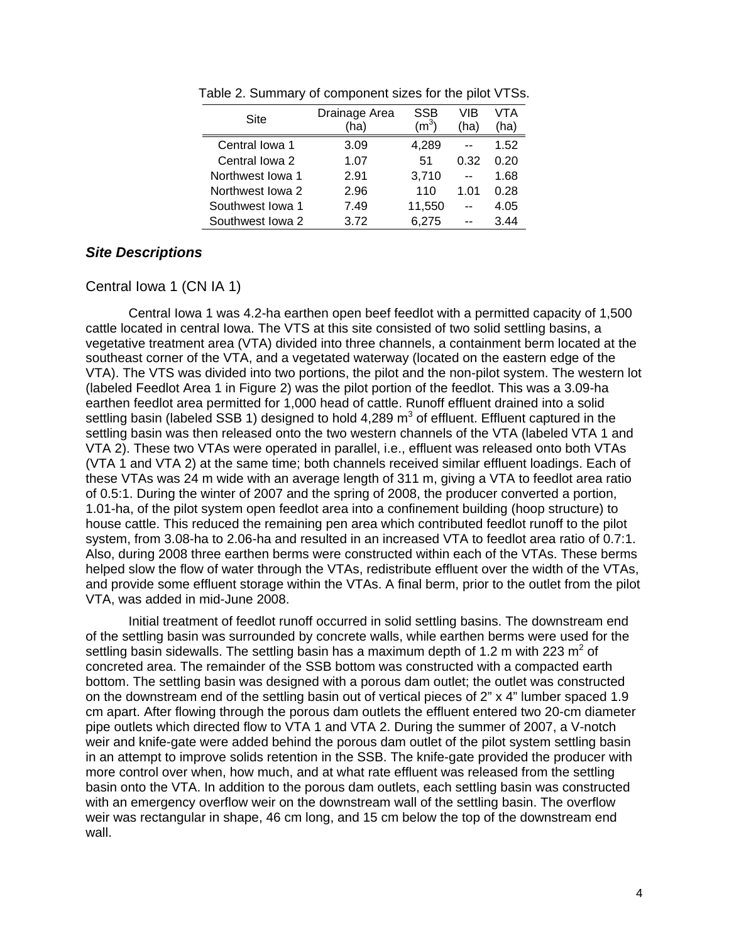| Site             | Drainage Area<br>(ha | <b>SSB</b><br>$(m^3)$ | VIB<br>(ha) | VTA<br>(ha) |
|------------------|----------------------|-----------------------|-------------|-------------|
| Central lowa 1   | 3.09                 | 4,289                 |             | 1.52        |
| Central Iowa 2   | 1.07                 | 51                    | 0.32        | 0.20        |
| Northwest lowa 1 | 2.91                 | 3,710                 |             | 1.68        |
| Northwest lowa 2 | 2.96                 | 110                   | 1.01        | 0.28        |
| Southwest lowa 1 | 7.49                 | 11,550                |             | 4.05        |
| Southwest lowa 2 | 3.72                 | 6,275                 |             | 3.44        |

Table 2. Summary of component sizes for the pilot VTSs.

#### *Site Descriptions*

#### Central Iowa 1 (CN IA 1)

Central Iowa 1 was 4.2-ha earthen open beef feedlot with a permitted capacity of 1,500 cattle located in central Iowa. The VTS at this site consisted of two solid settling basins, a vegetative treatment area (VTA) divided into three channels, a containment berm located at the southeast corner of the VTA, and a vegetated waterway (located on the eastern edge of the VTA). The VTS was divided into two portions, the pilot and the non-pilot system. The western lot (labeled Feedlot Area 1 in Figure 2) was the pilot portion of the feedlot. This was a 3.09-ha earthen feedlot area permitted for 1,000 head of cattle. Runoff effluent drained into a solid settling basin (labeled SSB 1) designed to hold 4,289  $m^3$  of effluent. Effluent captured in the settling basin was then released onto the two western channels of the VTA (labeled VTA 1 and VTA 2). These two VTAs were operated in parallel, i.e., effluent was released onto both VTAs (VTA 1 and VTA 2) at the same time; both channels received similar effluent loadings. Each of these VTAs was 24 m wide with an average length of 311 m, giving a VTA to feedlot area ratio of 0.5:1. During the winter of 2007 and the spring of 2008, the producer converted a portion, 1.01-ha, of the pilot system open feedlot area into a confinement building (hoop structure) to house cattle. This reduced the remaining pen area which contributed feedlot runoff to the pilot system, from 3.08-ha to 2.06-ha and resulted in an increased VTA to feedlot area ratio of 0.7:1. Also, during 2008 three earthen berms were constructed within each of the VTAs. These berms helped slow the flow of water through the VTAs, redistribute effluent over the width of the VTAs, and provide some effluent storage within the VTAs. A final berm, prior to the outlet from the pilot VTA, was added in mid-June 2008.

Initial treatment of feedlot runoff occurred in solid settling basins. The downstream end of the settling basin was surrounded by concrete walls, while earthen berms were used for the settling basin sidewalls. The settling basin has a maximum depth of 1.2 m with 223  $m^2$  of concreted area. The remainder of the SSB bottom was constructed with a compacted earth bottom. The settling basin was designed with a porous dam outlet; the outlet was constructed on the downstream end of the settling basin out of vertical pieces of 2" x 4" lumber spaced 1.9 cm apart. After flowing through the porous dam outlets the effluent entered two 20-cm diameter pipe outlets which directed flow to VTA 1 and VTA 2. During the summer of 2007, a V-notch weir and knife-gate were added behind the porous dam outlet of the pilot system settling basin in an attempt to improve solids retention in the SSB. The knife-gate provided the producer with more control over when, how much, and at what rate effluent was released from the settling basin onto the VTA. In addition to the porous dam outlets, each settling basin was constructed with an emergency overflow weir on the downstream wall of the settling basin. The overflow weir was rectangular in shape, 46 cm long, and 15 cm below the top of the downstream end wall.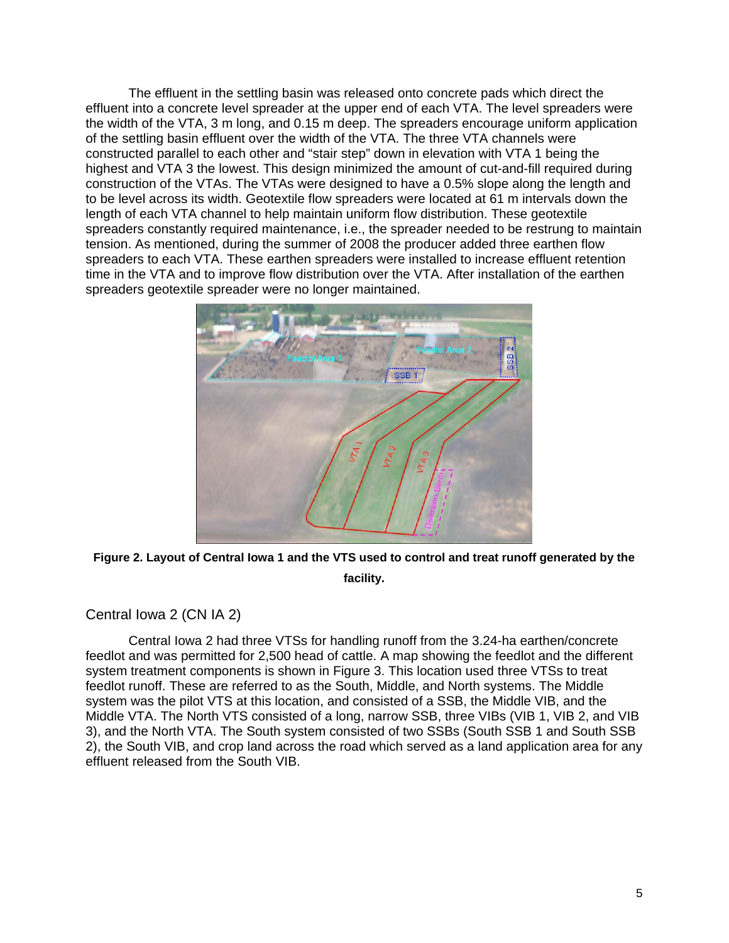The effluent in the settling basin was released onto concrete pads which direct the effluent into a concrete level spreader at the upper end of each VTA. The level spreaders were the width of the VTA, 3 m long, and 0.15 m deep. The spreaders encourage uniform application of the settling basin effluent over the width of the VTA. The three VTA channels were constructed parallel to each other and "stair step" down in elevation with VTA 1 being the highest and VTA 3 the lowest. This design minimized the amount of cut-and-fill required during construction of the VTAs. The VTAs were designed to have a 0.5% slope along the length and to be level across its width. Geotextile flow spreaders were located at 61 m intervals down the length of each VTA channel to help maintain uniform flow distribution. These geotextile spreaders constantly required maintenance, i.e., the spreader needed to be restrung to maintain tension. As mentioned, during the summer of 2008 the producer added three earthen flow spreaders to each VTA. These earthen spreaders were installed to increase effluent retention time in the VTA and to improve flow distribution over the VTA. After installation of the earthen spreaders geotextile spreader were no longer maintained.



**Figure 2. Layout of Central Iowa 1 and the VTS used to control and treat runoff generated by the facility.** 

Central Iowa 2 (CN IA 2)

Central Iowa 2 had three VTSs for handling runoff from the 3.24-ha earthen/concrete feedlot and was permitted for 2,500 head of cattle. A map showing the feedlot and the different system treatment components is shown in Figure 3. This location used three VTSs to treat feedlot runoff. These are referred to as the South, Middle, and North systems. The Middle system was the pilot VTS at this location, and consisted of a SSB, the Middle VIB, and the Middle VTA. The North VTS consisted of a long, narrow SSB, three VIBs (VIB 1, VIB 2, and VIB 3), and the North VTA. The South system consisted of two SSBs (South SSB 1 and South SSB 2), the South VIB, and crop land across the road which served as a land application area for any effluent released from the South VIB.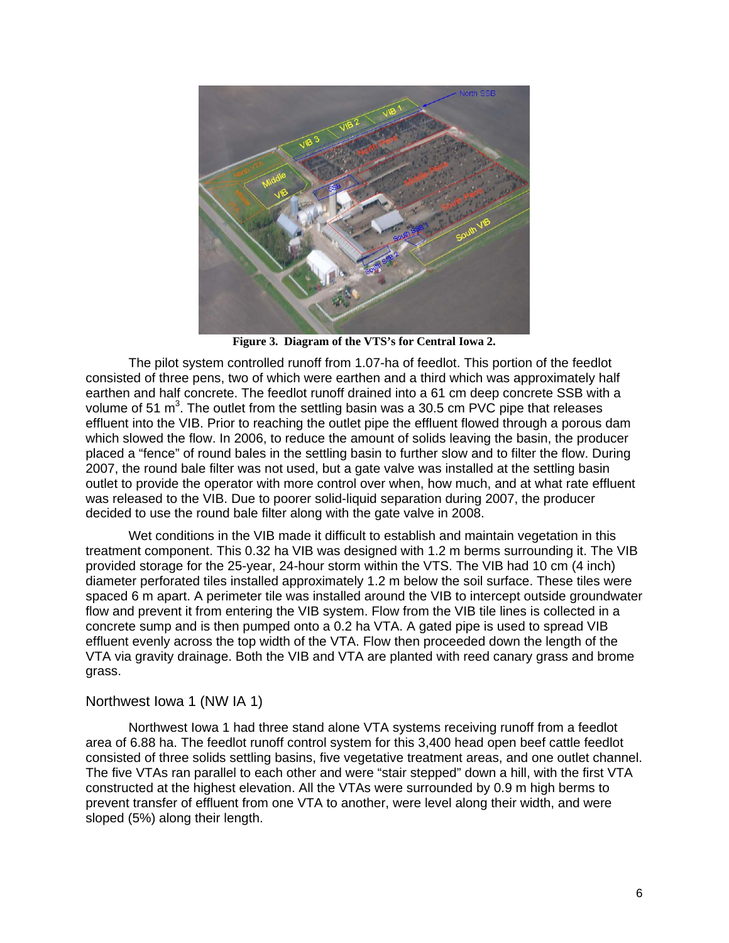

**Figure 3. Diagram of the VTS's for Central Iowa 2.** 

 The pilot system controlled runoff from 1.07-ha of feedlot. This portion of the feedlot consisted of three pens, two of which were earthen and a third which was approximately half earthen and half concrete. The feedlot runoff drained into a 61 cm deep concrete SSB with a volume of 51 m<sup>3</sup>. The outlet from the settling basin was a 30.5 cm PVC pipe that releases effluent into the VIB. Prior to reaching the outlet pipe the effluent flowed through a porous dam which slowed the flow. In 2006, to reduce the amount of solids leaving the basin, the producer placed a "fence" of round bales in the settling basin to further slow and to filter the flow. During 2007, the round bale filter was not used, but a gate valve was installed at the settling basin outlet to provide the operator with more control over when, how much, and at what rate effluent was released to the VIB. Due to poorer solid-liquid separation during 2007, the producer decided to use the round bale filter along with the gate valve in 2008.

Wet conditions in the VIB made it difficult to establish and maintain vegetation in this treatment component. This 0.32 ha VIB was designed with 1.2 m berms surrounding it. The VIB provided storage for the 25-year, 24-hour storm within the VTS. The VIB had 10 cm (4 inch) diameter perforated tiles installed approximately 1.2 m below the soil surface. These tiles were spaced 6 m apart. A perimeter tile was installed around the VIB to intercept outside groundwater flow and prevent it from entering the VIB system. Flow from the VIB tile lines is collected in a concrete sump and is then pumped onto a 0.2 ha VTA. A gated pipe is used to spread VIB effluent evenly across the top width of the VTA. Flow then proceeded down the length of the VTA via gravity drainage. Both the VIB and VTA are planted with reed canary grass and brome grass.

#### Northwest Iowa 1 (NW IA 1)

Northwest Iowa 1 had three stand alone VTA systems receiving runoff from a feedlot area of 6.88 ha. The feedlot runoff control system for this 3,400 head open beef cattle feedlot consisted of three solids settling basins, five vegetative treatment areas, and one outlet channel. The five VTAs ran parallel to each other and were "stair stepped" down a hill, with the first VTA constructed at the highest elevation. All the VTAs were surrounded by 0.9 m high berms to prevent transfer of effluent from one VTA to another, were level along their width, and were sloped (5%) along their length.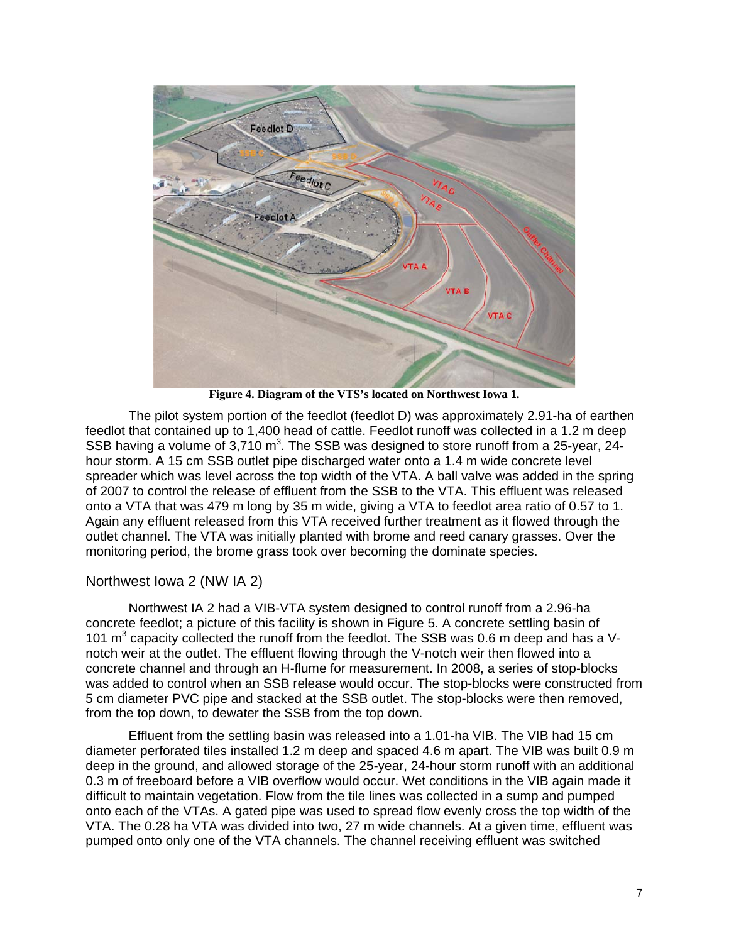

**Figure 4. Diagram of the VTS's located on Northwest Iowa 1.** 

 The pilot system portion of the feedlot (feedlot D) was approximately 2.91-ha of earthen feedlot that contained up to 1,400 head of cattle. Feedlot runoff was collected in a 1.2 m deep SSB having a volume of 3,710  $m^3$ . The SSB was designed to store runoff from a 25-year, 24hour storm. A 15 cm SSB outlet pipe discharged water onto a 1.4 m wide concrete level spreader which was level across the top width of the VTA. A ball valve was added in the spring of 2007 to control the release of effluent from the SSB to the VTA. This effluent was released onto a VTA that was 479 m long by 35 m wide, giving a VTA to feedlot area ratio of 0.57 to 1. Again any effluent released from this VTA received further treatment as it flowed through the outlet channel. The VTA was initially planted with brome and reed canary grasses. Over the monitoring period, the brome grass took over becoming the dominate species.

### Northwest Iowa 2 (NW IA 2)

Northwest IA 2 had a VIB-VTA system designed to control runoff from a 2.96-ha concrete feedlot; a picture of this facility is shown in Figure 5. A concrete settling basin of 101 m<sup>3</sup> capacity collected the runoff from the feedlot. The SSB was 0.6 m deep and has a Vnotch weir at the outlet. The effluent flowing through the V-notch weir then flowed into a concrete channel and through an H-flume for measurement. In 2008, a series of stop-blocks was added to control when an SSB release would occur. The stop-blocks were constructed from 5 cm diameter PVC pipe and stacked at the SSB outlet. The stop-blocks were then removed, from the top down, to dewater the SSB from the top down.

Effluent from the settling basin was released into a 1.01-ha VIB. The VIB had 15 cm diameter perforated tiles installed 1.2 m deep and spaced 4.6 m apart. The VIB was built 0.9 m deep in the ground, and allowed storage of the 25-year, 24-hour storm runoff with an additional 0.3 m of freeboard before a VIB overflow would occur. Wet conditions in the VIB again made it difficult to maintain vegetation. Flow from the tile lines was collected in a sump and pumped onto each of the VTAs. A gated pipe was used to spread flow evenly cross the top width of the VTA. The 0.28 ha VTA was divided into two, 27 m wide channels. At a given time, effluent was pumped onto only one of the VTA channels. The channel receiving effluent was switched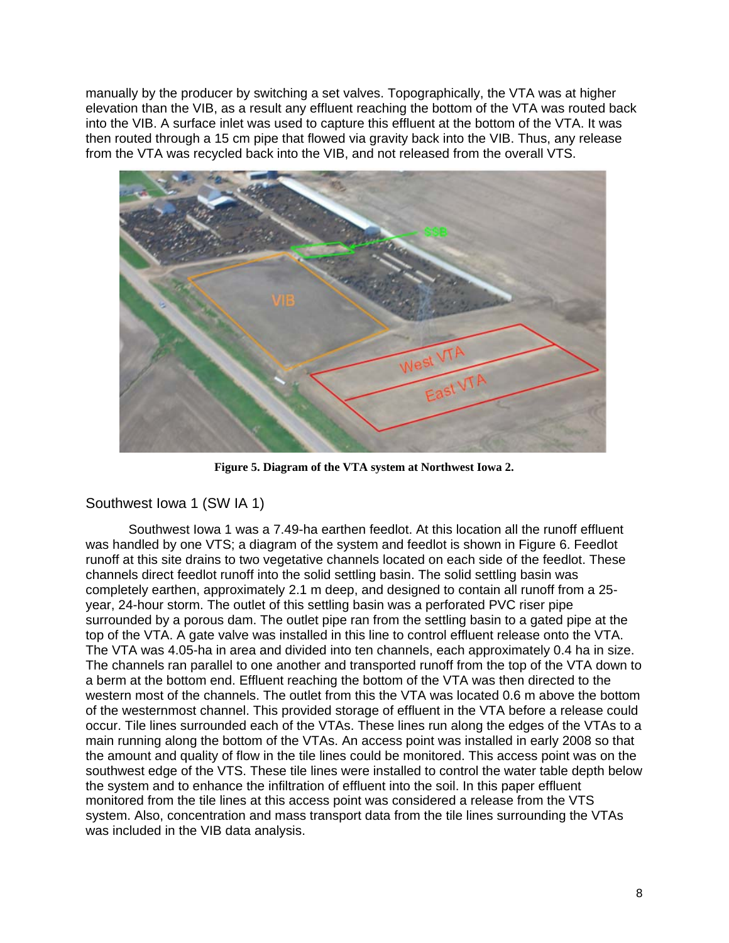manually by the producer by switching a set valves. Topographically, the VTA was at higher elevation than the VIB, as a result any effluent reaching the bottom of the VTA was routed back into the VIB. A surface inlet was used to capture this effluent at the bottom of the VTA. It was then routed through a 15 cm pipe that flowed via gravity back into the VIB. Thus, any release from the VTA was recycled back into the VIB, and not released from the overall VTS.



**Figure 5. Diagram of the VTA system at Northwest Iowa 2.** 

## Southwest Iowa 1 (SW IA 1)

Southwest Iowa 1 was a 7.49-ha earthen feedlot. At this location all the runoff effluent was handled by one VTS; a diagram of the system and feedlot is shown in Figure 6. Feedlot runoff at this site drains to two vegetative channels located on each side of the feedlot. These channels direct feedlot runoff into the solid settling basin. The solid settling basin was completely earthen, approximately 2.1 m deep, and designed to contain all runoff from a 25 year, 24-hour storm. The outlet of this settling basin was a perforated PVC riser pipe surrounded by a porous dam. The outlet pipe ran from the settling basin to a gated pipe at the top of the VTA. A gate valve was installed in this line to control effluent release onto the VTA. The VTA was 4.05-ha in area and divided into ten channels, each approximately 0.4 ha in size. The channels ran parallel to one another and transported runoff from the top of the VTA down to a berm at the bottom end. Effluent reaching the bottom of the VTA was then directed to the western most of the channels. The outlet from this the VTA was located 0.6 m above the bottom of the westernmost channel. This provided storage of effluent in the VTA before a release could occur. Tile lines surrounded each of the VTAs. These lines run along the edges of the VTAs to a main running along the bottom of the VTAs. An access point was installed in early 2008 so that the amount and quality of flow in the tile lines could be monitored. This access point was on the southwest edge of the VTS. These tile lines were installed to control the water table depth below the system and to enhance the infiltration of effluent into the soil. In this paper effluent monitored from the tile lines at this access point was considered a release from the VTS system. Also, concentration and mass transport data from the tile lines surrounding the VTAs was included in the VIB data analysis.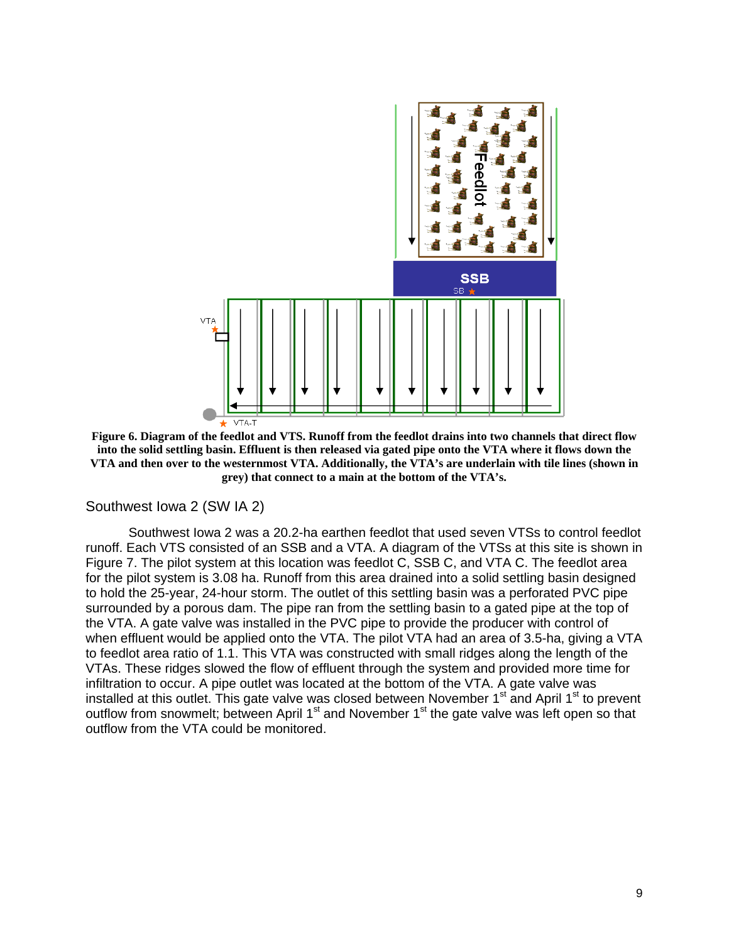

**Figure 6. Diagram of the feedlot and VTS. Runoff from the feedlot drains into two channels that direct flow into the solid settling basin. Effluent is then released via gated pipe onto the VTA where it flows down the VTA and then over to the westernmost VTA. Additionally, the VTA's are underlain with tile lines (shown in grey) that connect to a main at the bottom of the VTA's.** 

Southwest Iowa 2 (SW IA 2)

Southwest Iowa 2 was a 20.2-ha earthen feedlot that used seven VTSs to control feedlot runoff. Each VTS consisted of an SSB and a VTA. A diagram of the VTSs at this site is shown in Figure 7. The pilot system at this location was feedlot C, SSB C, and VTA C. The feedlot area for the pilot system is 3.08 ha. Runoff from this area drained into a solid settling basin designed to hold the 25-year, 24-hour storm. The outlet of this settling basin was a perforated PVC pipe surrounded by a porous dam. The pipe ran from the settling basin to a gated pipe at the top of the VTA. A gate valve was installed in the PVC pipe to provide the producer with control of when effluent would be applied onto the VTA. The pilot VTA had an area of 3.5-ha, giving a VTA to feedlot area ratio of 1.1. This VTA was constructed with small ridges along the length of the VTAs. These ridges slowed the flow of effluent through the system and provided more time for infiltration to occur. A pipe outlet was located at the bottom of the VTA. A gate valve was installed at this outlet. This gate valve was closed between November 1<sup>st</sup> and April 1<sup>st</sup> to prevent outflow from snowmelt; between April 1<sup>st</sup> and November 1<sup>st</sup> the gate valve was left open so that outflow from the VTA could be monitored.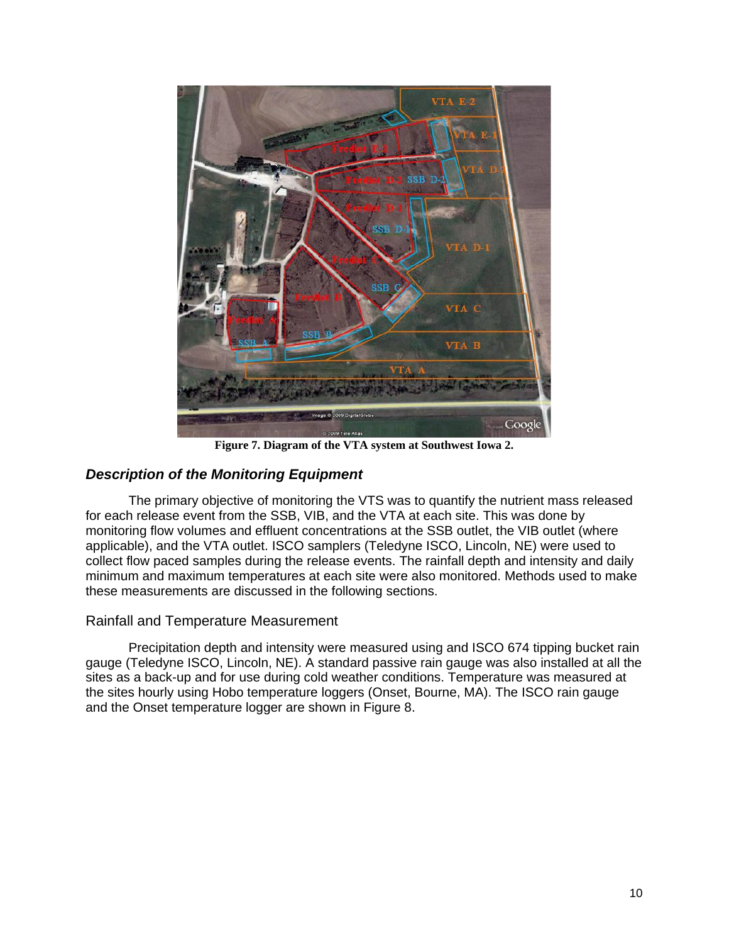

**Figure 7. Diagram of the VTA system at Southwest Iowa 2.** 

### *Description of the Monitoring Equipment*

The primary objective of monitoring the VTS was to quantify the nutrient mass released for each release event from the SSB, VIB, and the VTA at each site. This was done by monitoring flow volumes and effluent concentrations at the SSB outlet, the VIB outlet (where applicable), and the VTA outlet. ISCO samplers (Teledyne ISCO, Lincoln, NE) were used to collect flow paced samples during the release events. The rainfall depth and intensity and daily minimum and maximum temperatures at each site were also monitored. Methods used to make these measurements are discussed in the following sections.

### Rainfall and Temperature Measurement

 Precipitation depth and intensity were measured using and ISCO 674 tipping bucket rain gauge (Teledyne ISCO, Lincoln, NE). A standard passive rain gauge was also installed at all the sites as a back-up and for use during cold weather conditions. Temperature was measured at the sites hourly using Hobo temperature loggers (Onset, Bourne, MA). The ISCO rain gauge and the Onset temperature logger are shown in Figure 8.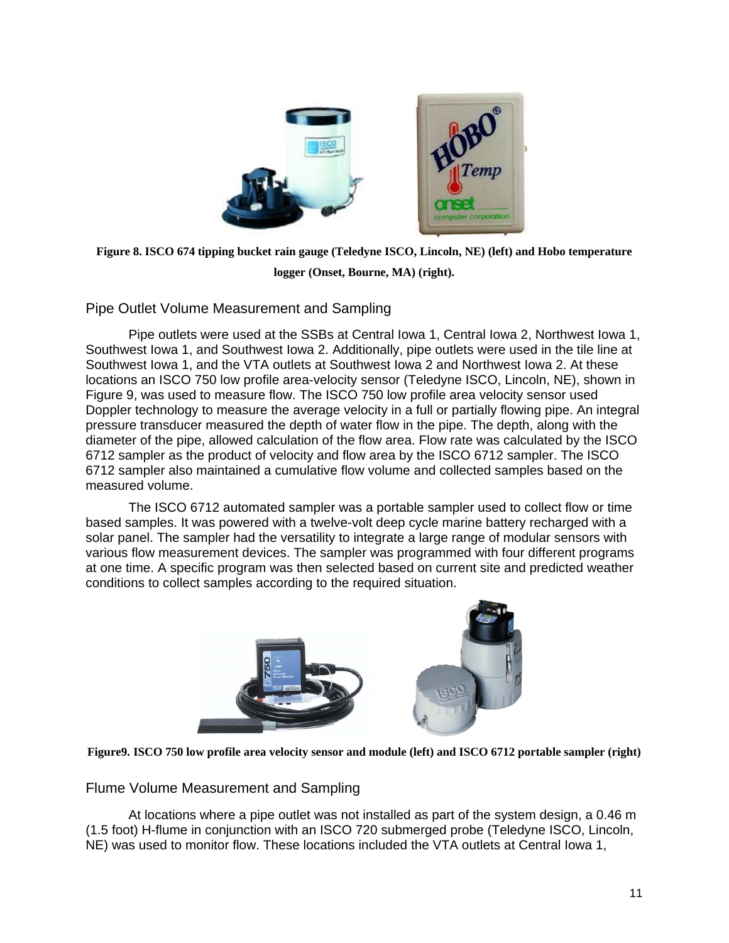

**Figure 8. ISCO 674 tipping bucket rain gauge (Teledyne ISCO, Lincoln, NE) (left) and Hobo temperature logger (Onset, Bourne, MA) (right).** 

Pipe Outlet Volume Measurement and Sampling

Pipe outlets were used at the SSBs at Central Iowa 1, Central Iowa 2, Northwest Iowa 1, Southwest Iowa 1, and Southwest Iowa 2. Additionally, pipe outlets were used in the tile line at Southwest Iowa 1, and the VTA outlets at Southwest Iowa 2 and Northwest Iowa 2. At these locations an ISCO 750 low profile area-velocity sensor (Teledyne ISCO, Lincoln, NE), shown in Figure 9, was used to measure flow. The ISCO 750 low profile area velocity sensor used Doppler technology to measure the average velocity in a full or partially flowing pipe. An integral pressure transducer measured the depth of water flow in the pipe. The depth, along with the diameter of the pipe, allowed calculation of the flow area. Flow rate was calculated by the ISCO 6712 sampler as the product of velocity and flow area by the ISCO 6712 sampler. The ISCO 6712 sampler also maintained a cumulative flow volume and collected samples based on the measured volume.

 The ISCO 6712 automated sampler was a portable sampler used to collect flow or time based samples. It was powered with a twelve-volt deep cycle marine battery recharged with a solar panel. The sampler had the versatility to integrate a large range of modular sensors with various flow measurement devices. The sampler was programmed with four different programs at one time. A specific program was then selected based on current site and predicted weather conditions to collect samples according to the required situation.





## Flume Volume Measurement and Sampling

 At locations where a pipe outlet was not installed as part of the system design, a 0.46 m (1.5 foot) H-flume in conjunction with an ISCO 720 submerged probe (Teledyne ISCO, Lincoln, NE) was used to monitor flow. These locations included the VTA outlets at Central Iowa 1,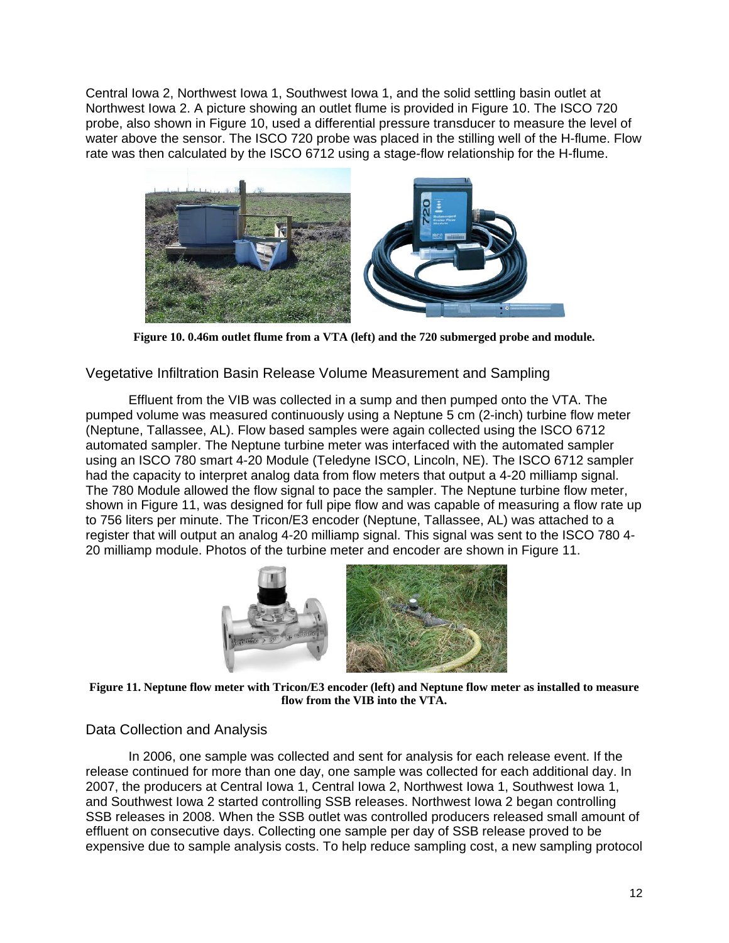Central Iowa 2, Northwest Iowa 1, Southwest Iowa 1, and the solid settling basin outlet at Northwest Iowa 2. A picture showing an outlet flume is provided in Figure 10. The ISCO 720 probe, also shown in Figure 10, used a differential pressure transducer to measure the level of water above the sensor. The ISCO 720 probe was placed in the stilling well of the H-flume. Flow rate was then calculated by the ISCO 6712 using a stage-flow relationship for the H-flume.



**Figure 10. 0.46m outlet flume from a VTA (left) and the 720 submerged probe and module.** 

Vegetative Infiltration Basin Release Volume Measurement and Sampling

 Effluent from the VIB was collected in a sump and then pumped onto the VTA. The pumped volume was measured continuously using a Neptune 5 cm (2-inch) turbine flow meter (Neptune, Tallassee, AL). Flow based samples were again collected using the ISCO 6712 automated sampler. The Neptune turbine meter was interfaced with the automated sampler using an ISCO 780 smart 4-20 Module (Teledyne ISCO, Lincoln, NE). The ISCO 6712 sampler had the capacity to interpret analog data from flow meters that output a 4-20 milliamp signal. The 780 Module allowed the flow signal to pace the sampler. The Neptune turbine flow meter, shown in Figure 11, was designed for full pipe flow and was capable of measuring a flow rate up to 756 liters per minute. The Tricon/E3 encoder (Neptune, Tallassee, AL) was attached to a register that will output an analog 4-20 milliamp signal. This signal was sent to the ISCO 780 4- 20 milliamp module. Photos of the turbine meter and encoder are shown in Figure 11.



**Figure 11. Neptune flow meter with Tricon/E3 encoder (left) and Neptune flow meter as installed to measure flow from the VIB into the VTA.** 

## Data Collection and Analysis

In 2006, one sample was collected and sent for analysis for each release event. If the release continued for more than one day, one sample was collected for each additional day. In 2007, the producers at Central Iowa 1, Central Iowa 2, Northwest Iowa 1, Southwest Iowa 1, and Southwest Iowa 2 started controlling SSB releases. Northwest Iowa 2 began controlling SSB releases in 2008. When the SSB outlet was controlled producers released small amount of effluent on consecutive days. Collecting one sample per day of SSB release proved to be expensive due to sample analysis costs. To help reduce sampling cost, a new sampling protocol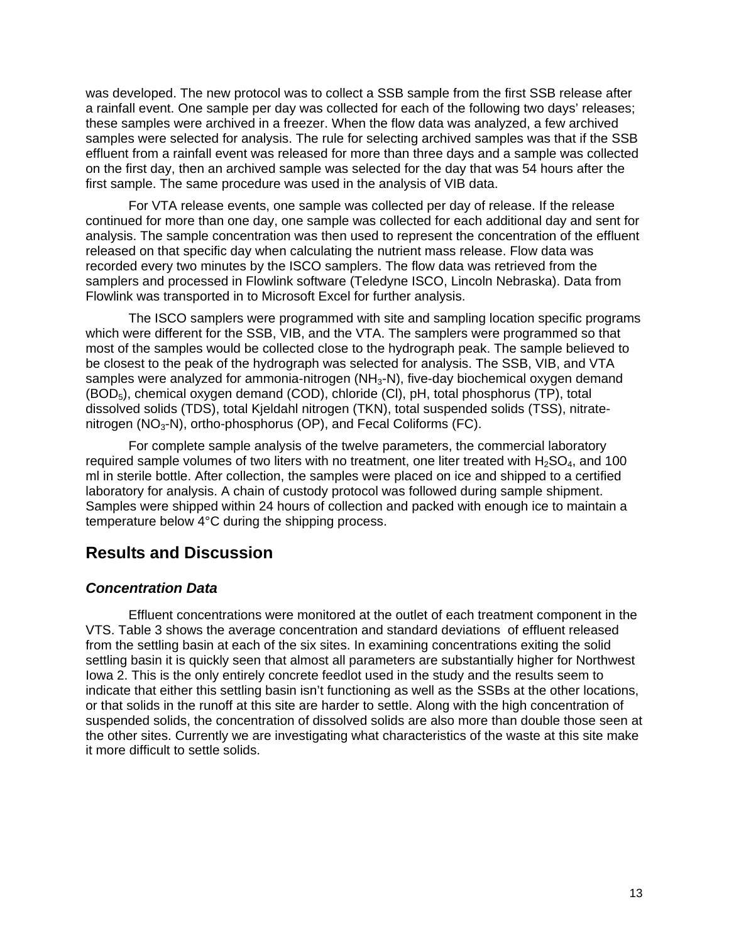was developed. The new protocol was to collect a SSB sample from the first SSB release after a rainfall event. One sample per day was collected for each of the following two days' releases; these samples were archived in a freezer. When the flow data was analyzed, a few archived samples were selected for analysis. The rule for selecting archived samples was that if the SSB effluent from a rainfall event was released for more than three days and a sample was collected on the first day, then an archived sample was selected for the day that was 54 hours after the first sample. The same procedure was used in the analysis of VIB data.

For VTA release events, one sample was collected per day of release. If the release continued for more than one day, one sample was collected for each additional day and sent for analysis. The sample concentration was then used to represent the concentration of the effluent released on that specific day when calculating the nutrient mass release. Flow data was recorded every two minutes by the ISCO samplers. The flow data was retrieved from the samplers and processed in Flowlink software (Teledyne ISCO, Lincoln Nebraska). Data from Flowlink was transported in to Microsoft Excel for further analysis.

The ISCO samplers were programmed with site and sampling location specific programs which were different for the SSB, VIB, and the VTA. The samplers were programmed so that most of the samples would be collected close to the hydrograph peak. The sample believed to be closest to the peak of the hydrograph was selected for analysis. The SSB, VIB, and VTA samples were analyzed for ammonia-nitrogen  $(NH_3-N)$ , five-day biochemical oxygen demand (BOD5), chemical oxygen demand (COD), chloride (Cl), pH, total phosphorus (TP), total dissolved solids (TDS), total Kjeldahl nitrogen (TKN), total suspended solids (TSS), nitratenitrogen ( $NO<sub>3</sub>$ -N), ortho-phosphorus (OP), and Fecal Coliforms (FC).

For complete sample analysis of the twelve parameters, the commercial laboratory required sample volumes of two liters with no treatment, one liter treated with  $H_2SO_4$ , and 100 ml in sterile bottle. After collection, the samples were placed on ice and shipped to a certified laboratory for analysis. A chain of custody protocol was followed during sample shipment. Samples were shipped within 24 hours of collection and packed with enough ice to maintain a temperature below 4°C during the shipping process.

## **Results and Discussion**

## *Concentration Data*

 Effluent concentrations were monitored at the outlet of each treatment component in the VTS. Table 3 shows the average concentration and standard deviations of effluent released from the settling basin at each of the six sites. In examining concentrations exiting the solid settling basin it is quickly seen that almost all parameters are substantially higher for Northwest Iowa 2. This is the only entirely concrete feedlot used in the study and the results seem to indicate that either this settling basin isn't functioning as well as the SSBs at the other locations, or that solids in the runoff at this site are harder to settle. Along with the high concentration of suspended solids, the concentration of dissolved solids are also more than double those seen at the other sites. Currently we are investigating what characteristics of the waste at this site make it more difficult to settle solids.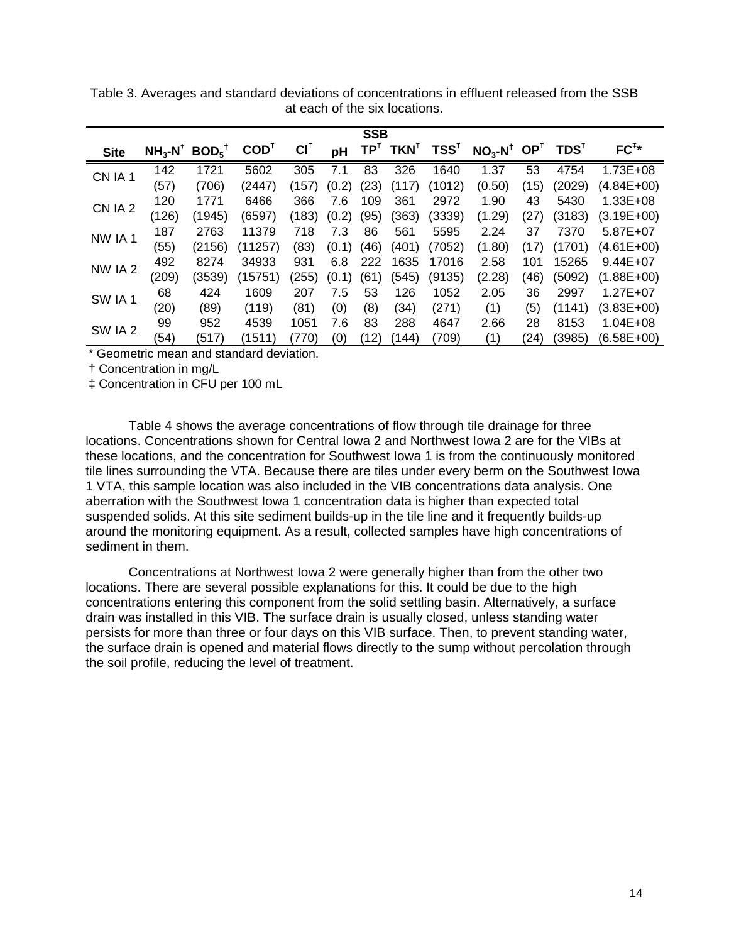|             | <b>SSB</b> |                                                         |                  |                 |       |      |       |                                                   |                                |      |                 |              |  |
|-------------|------------|---------------------------------------------------------|------------------|-----------------|-------|------|-------|---------------------------------------------------|--------------------------------|------|-----------------|--------------|--|
| <b>Site</b> |            | $NH_3\text{-}N^{\dagger}$ BOD <sub>5</sub> <sup>†</sup> | COD <sup>†</sup> | Cl <sup>T</sup> | pH    |      |       | TP <sup>†</sup> TKN <sup>†</sup> TSS <sup>†</sup> | $NO3-N\dagger$ OP <sup>t</sup> |      | $TDS^{\dagger}$ | $FC†*$       |  |
| CN IA 1     | 142        | 1721                                                    | 5602             | 305             | 7.1   | 83   | 326   | 1640                                              | 1.37                           | 53   | 4754            | $1.73E + 08$ |  |
|             | (57)       | (706)                                                   | (2447)           | (157)           | (0.2) | (23) | (117) | (1012)                                            | (0.50)                         | (15) | (2029)          | (4.84E+00)   |  |
| CN IA 2     | 120        | 1771                                                    | 6466             | 366             | 7.6   | 109  | 361   | 2972                                              | 1.90                           | 43   | 5430            | $1.33E + 08$ |  |
|             | (126)      | (1945)                                                  | (6597)           | (183)           | (0.2) | (95) | (363) | (3339)                                            | (1.29)                         | (27) | (3183)          | (3.19E+00)   |  |
| NW IA 1     | 187        | 2763                                                    | 11379            | 718             | 7.3   | 86   | 561   | 5595                                              | 2.24                           | 37   | 7370            | 5.87E+07     |  |
|             | (55)       | (2156)                                                  | (11257)          | (83)            | (0.1) | (46) | (401) | (7052)                                            | (1.80)                         | (17) | (1701)          | (4.61E+00)   |  |
| NW IA 2     | 492        | 8274                                                    | 34933            | 931             | 6.8   | 222  | 1635  | 17016                                             | 2.58                           | 101  | 15265           | $9.44E + 07$ |  |
|             | (209)      | (3539)                                                  | (15751)          | (255)           | (0.1) | (61) | (545) | (9135)                                            | (2.28)                         | (46) | (5092)          | $(1.88E+00)$ |  |
| SW IA 1     | 68         | 424                                                     | 1609             | 207             | 7.5   | 53   | 126   | 1052                                              | 2.05                           | 36   | 2997            | $1.27E + 07$ |  |
|             | (20)       | (89)                                                    | (119)            | (81)            | (0)   | (8)  | (34)  | (271)                                             | (1)                            | (5)  | (1141)          | $(3.83E+00)$ |  |
| SW IA 2     | 99         | 952                                                     | 4539             | 1051            | 7.6   | 83   | 288   | 4647                                              | 2.66                           | 28   | 8153            | $1.04E + 08$ |  |
|             | (54)       | (517)                                                   | (1511)           | (770)           | (0)   | (12) | (144) | (709)                                             | (1)                            | (24) | (3985)          | (6.58E+00)   |  |

Table 3. Averages and standard deviations of concentrations in effluent released from the SSB at each of the six locations.

\* Geometric mean and standard deviation.

† Concentration in mg/L

‡ Concentration in CFU per 100 mL

 Table 4 shows the average concentrations of flow through tile drainage for three locations. Concentrations shown for Central Iowa 2 and Northwest Iowa 2 are for the VIBs at these locations, and the concentration for Southwest Iowa 1 is from the continuously monitored tile lines surrounding the VTA. Because there are tiles under every berm on the Southwest Iowa 1 VTA, this sample location was also included in the VIB concentrations data analysis. One aberration with the Southwest Iowa 1 concentration data is higher than expected total suspended solids. At this site sediment builds-up in the tile line and it frequently builds-up around the monitoring equipment. As a result, collected samples have high concentrations of sediment in them.

Concentrations at Northwest Iowa 2 were generally higher than from the other two locations. There are several possible explanations for this. It could be due to the high concentrations entering this component from the solid settling basin. Alternatively, a surface drain was installed in this VIB. The surface drain is usually closed, unless standing water persists for more than three or four days on this VIB surface. Then, to prevent standing water, the surface drain is opened and material flows directly to the sump without percolation through the soil profile, reducing the level of treatment.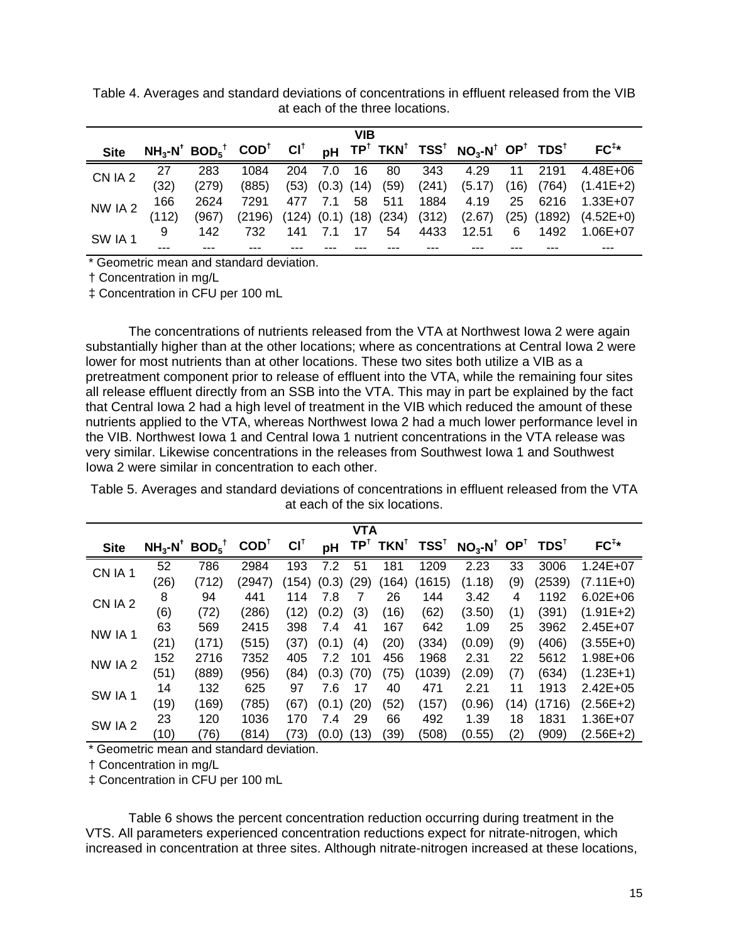|             | <b>VIB</b> |                                                                          |        |                 |                |    |                                |       |                                                                                                                                    |      |        |              |  |  |
|-------------|------------|--------------------------------------------------------------------------|--------|-----------------|----------------|----|--------------------------------|-------|------------------------------------------------------------------------------------------------------------------------------------|------|--------|--------------|--|--|
| <b>Site</b> |            | $NH_3\text{-}N^{\dagger}$ BOD <sub>5</sub> <sup>†</sup> COD <sup>†</sup> |        | Cl <sup>†</sup> |                |    |                                |       | $_{\text{D}}$ H TP <sup>†</sup> TKN <sup>†</sup> TSS <sup>†</sup> NO <sub>3</sub> -N <sup>†</sup> OP <sup>†</sup> TDS <sup>†</sup> |      |        | $FC†*$       |  |  |
| CN IA 2     | 27         | 283                                                                      | 1084   | 204             | 7.0            | 16 | 80                             | 343   | 4.29                                                                                                                               | 11   | 2191   | 4.48E+06     |  |  |
|             | (32)       | (279)                                                                    | (885)  | (53)            | $(0.3)$ $(14)$ |    | (59)                           | (241) | (5.17)                                                                                                                             | (16) | (764)  | $(1.41E+2)$  |  |  |
| NW IA 2     | 166        | 2624                                                                     | 7291   | 477             | 7.1            | 58 | 511                            | 1884  | 4.19                                                                                                                               | 25   | 6216   | $1.33E + 07$ |  |  |
|             | (112)      | (967)                                                                    | (2196) |                 |                |    | $(124)$ $(0.1)$ $(18)$ $(234)$ | (312) | (2.67)                                                                                                                             | (25) | (1892) | $(4.52E+0)$  |  |  |
| SW IA 1     | 9          | 142                                                                      | 732    | 141             |                | 17 | 54                             | 4433  | 12.51                                                                                                                              | 6    | 1492   | $1.06E + 07$ |  |  |
|             |            |                                                                          |        |                 |                |    |                                |       |                                                                                                                                    |      |        |              |  |  |

Table 4. Averages and standard deviations of concentrations in effluent released from the VIB at each of the three locations.

\* Geometric mean and standard deviation.

† Concentration in mg/L

‡ Concentration in CFU per 100 mL

 The concentrations of nutrients released from the VTA at Northwest Iowa 2 were again substantially higher than at the other locations; where as concentrations at Central Iowa 2 were lower for most nutrients than at other locations. These two sites both utilize a VIB as a pretreatment component prior to release of effluent into the VTA, while the remaining four sites all release effluent directly from an SSB into the VTA. This may in part be explained by the fact that Central Iowa 2 had a high level of treatment in the VIB which reduced the amount of these nutrients applied to the VTA, whereas Northwest Iowa 2 had a much lower performance level in the VIB. Northwest Iowa 1 and Central Iowa 1 nutrient concentrations in the VTA release was very similar. Likewise concentrations in the releases from Southwest Iowa 1 and Southwest Iowa 2 were similar in concentration to each other.

Table 5. Averages and standard deviations of concentrations in effluent released from the VTA at each of the six locations.

|             | <b>VTA</b> |                                        |                  |                 |       |      |       |        |                                                                                                  |      |                 |              |  |  |
|-------------|------------|----------------------------------------|------------------|-----------------|-------|------|-------|--------|--------------------------------------------------------------------------------------------------|------|-----------------|--------------|--|--|
|             |            |                                        | COD <sup>†</sup> | CI <sup>T</sup> |       |      |       |        | $TP^{\dagger}$ TKN <sup>†</sup> TSS <sup>†</sup> NO <sub>3</sub> -N <sup>†</sup> OP <sup>†</sup> |      | $TDS^{\dagger}$ | $FC†*$       |  |  |
| <b>Site</b> |            | $NH3-N†$ BOD <sub>5</sub> <sup>†</sup> |                  |                 | pH    |      |       |        |                                                                                                  |      |                 |              |  |  |
| CNIA1       | 52         | 786                                    | 2984             | 193             | 7.2   | 51   | 181   | 1209   | 2.23                                                                                             | 33   | 3006            | $1.24E + 07$ |  |  |
|             | (26)       | (712)                                  | (2947)           | (154)           | (0.3) | (29) | (164) | (1615) | (1.18)                                                                                           | (9)  | (2539)          | $(7.11E+0)$  |  |  |
| CN IA 2     | 8          | 94                                     | 441              | 114             | 7.8   |      | 26    | 144    | 3.42                                                                                             | 4    | 1192            | $6.02E + 06$ |  |  |
|             | (6)        | (72)                                   | (286)            | (12)            | (0.2) | (3)  | (16)  | (62)   | (3.50)                                                                                           | (1)  | (391)           | $(1.91E+2)$  |  |  |
| NW IA 1     | 63         | 569                                    | 2415             | 398             | 7.4   | 41   | 167   | 642    | 1.09                                                                                             | 25   | 3962            | 2.45E+07     |  |  |
|             | (21)       | (171)                                  | (515)            | (37)            | (0.1) | (4)  | (20)  | (334)  | (0.09)                                                                                           | (9)  | (406)           | $(3.55E+0)$  |  |  |
| NW IA 2     | 152        | 2716                                   | 7352             | 405             | 7.2   | 101  | 456   | 1968   | 2.31                                                                                             | 22   | 5612            | 1.98E+06     |  |  |
|             | (51)       | (889)                                  | (956)            | (84)            | (0.3) | (70) | (75)  | (1039) | (2.09)                                                                                           | (7)  | (634)           | $(1.23E+1)$  |  |  |
| SW IA 1     | 14         | 132                                    | 625              | 97              | 7.6   | 17   | 40    | 471    | 2.21                                                                                             | 11   | 1913            | $2.42E + 05$ |  |  |
|             | (19)       | (169)                                  | (785)            | (67)            | (0.1) | (20) | (52)  | (157)  | (0.96)                                                                                           | (14) | (1716)          | $(2.56E+2)$  |  |  |
| SW IA 2     | 23         | 120                                    | 1036             | 170             | 7.4   | 29   | 66    | 492    | 1.39                                                                                             | 18   | 1831            | 1.36E+07     |  |  |
|             | (10)       | (76)                                   | (814)            | (73)            | (0.0) | (13) | (39)  | (508)  | (0.55)                                                                                           | (2)  | (909)           | $(2.56E+2)$  |  |  |

\* Geometric mean and standard deviation.

† Concentration in mg/L

‡ Concentration in CFU per 100 mL

Table 6 shows the percent concentration reduction occurring during treatment in the VTS. All parameters experienced concentration reductions expect for nitrate-nitrogen, which increased in concentration at three sites. Although nitrate-nitrogen increased at these locations,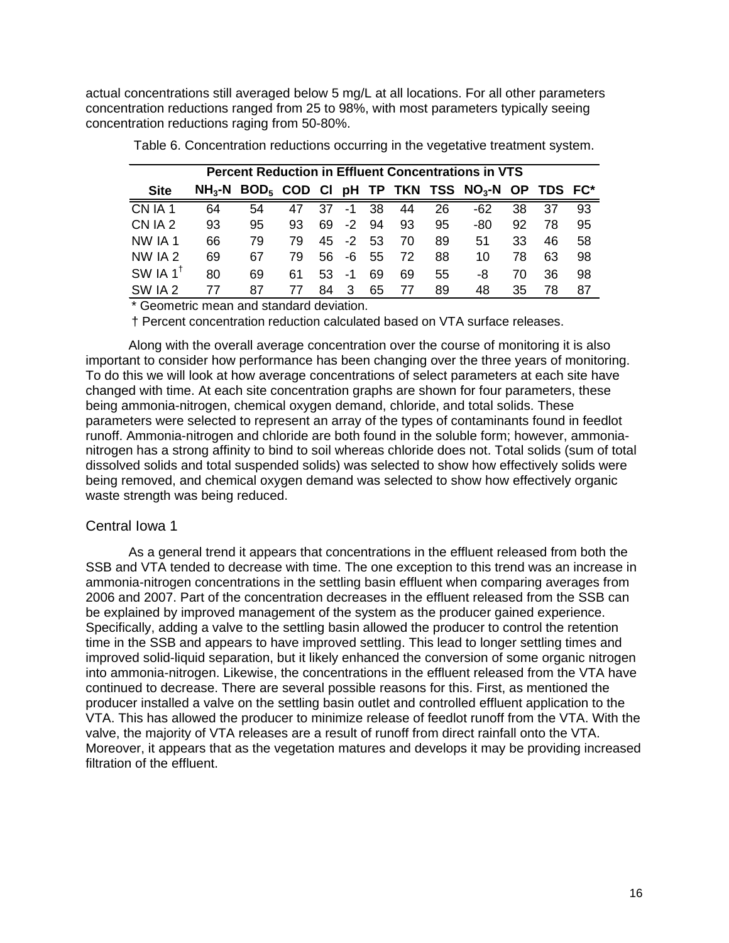actual concentrations still averaged below 5 mg/L at all locations. For all other parameters concentration reductions ranged from 25 to 98%, with most parameters typically seeing concentration reductions raging from 50-80%.

|                     | <b>Percent Reduction in Effluent Concentrations in VTS</b> |    |     |      |          |     |    |    |                                                                              |    |    |    |  |  |  |
|---------------------|------------------------------------------------------------|----|-----|------|----------|-----|----|----|------------------------------------------------------------------------------|----|----|----|--|--|--|
| <b>Site</b>         |                                                            |    |     |      |          |     |    |    | $NH3$ -N BOD <sub>5</sub> COD CI pH TP TKN TSS NO <sub>3</sub> -N OP TDS FC* |    |    |    |  |  |  |
| CN IA 1             | 64                                                         | 54 | 47  | 37   | $-1$     | .38 | 44 | 26 | -62                                                                          | 38 | 37 | 93 |  |  |  |
| CN IA 2             | 93                                                         | 95 | 93  |      | 69 -2    | .94 | 93 | 95 | -80                                                                          | 92 | 78 | 95 |  |  |  |
| NW IA 1             | 66                                                         | 79 | 79  |      | 45 -2    | -53 | 70 | 89 | 51                                                                           | 33 | 46 | 58 |  |  |  |
| NW IA 2             | 69                                                         | 67 | 79. | 56 - | -655     |     | 72 | 88 | 10                                                                           | 78 | 63 | 98 |  |  |  |
| SW IA $1^{\dagger}$ | 80                                                         | 69 | 61  |      | $53 - 1$ | 69  | 69 | 55 | -8                                                                           | 70 | 36 | 98 |  |  |  |
| SW IA 2             | 77                                                         | 87 | 77  | 84   | 3        | 65  | 77 | 89 | 48                                                                           | 35 | 78 | 87 |  |  |  |

Table 6. Concentration reductions occurring in the vegetative treatment system.

\* Geometric mean and standard deviation.

† Percent concentration reduction calculated based on VTA surface releases.

Along with the overall average concentration over the course of monitoring it is also important to consider how performance has been changing over the three years of monitoring. To do this we will look at how average concentrations of select parameters at each site have changed with time. At each site concentration graphs are shown for four parameters, these being ammonia-nitrogen, chemical oxygen demand, chloride, and total solids. These parameters were selected to represent an array of the types of contaminants found in feedlot runoff. Ammonia-nitrogen and chloride are both found in the soluble form; however, ammonianitrogen has a strong affinity to bind to soil whereas chloride does not. Total solids (sum of total dissolved solids and total suspended solids) was selected to show how effectively solids were being removed, and chemical oxygen demand was selected to show how effectively organic waste strength was being reduced.

### Central Iowa 1

 As a general trend it appears that concentrations in the effluent released from both the SSB and VTA tended to decrease with time. The one exception to this trend was an increase in ammonia-nitrogen concentrations in the settling basin effluent when comparing averages from 2006 and 2007. Part of the concentration decreases in the effluent released from the SSB can be explained by improved management of the system as the producer gained experience. Specifically, adding a valve to the settling basin allowed the producer to control the retention time in the SSB and appears to have improved settling. This lead to longer settling times and improved solid-liquid separation, but it likely enhanced the conversion of some organic nitrogen into ammonia-nitrogen. Likewise, the concentrations in the effluent released from the VTA have continued to decrease. There are several possible reasons for this. First, as mentioned the producer installed a valve on the settling basin outlet and controlled effluent application to the VTA. This has allowed the producer to minimize release of feedlot runoff from the VTA. With the valve, the majority of VTA releases are a result of runoff from direct rainfall onto the VTA. Moreover, it appears that as the vegetation matures and develops it may be providing increased filtration of the effluent.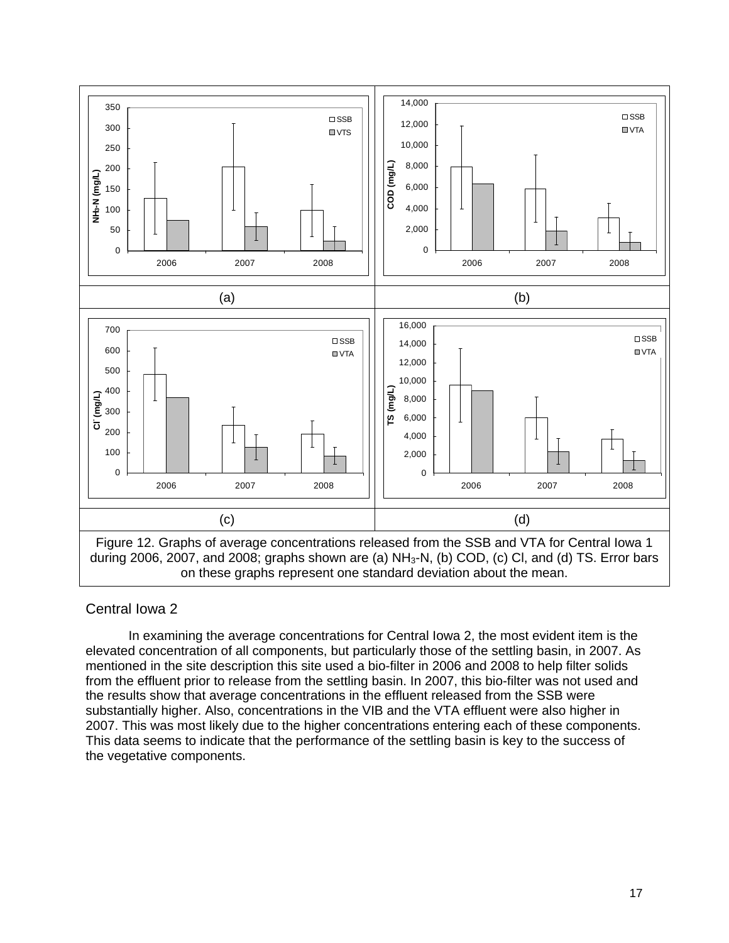

## Central Iowa 2

 In examining the average concentrations for Central Iowa 2, the most evident item is the elevated concentration of all components, but particularly those of the settling basin, in 2007. As mentioned in the site description this site used a bio-filter in 2006 and 2008 to help filter solids from the effluent prior to release from the settling basin. In 2007, this bio-filter was not used and the results show that average concentrations in the effluent released from the SSB were substantially higher. Also, concentrations in the VIB and the VTA effluent were also higher in 2007. This was most likely due to the higher concentrations entering each of these components. This data seems to indicate that the performance of the settling basin is key to the success of the vegetative components.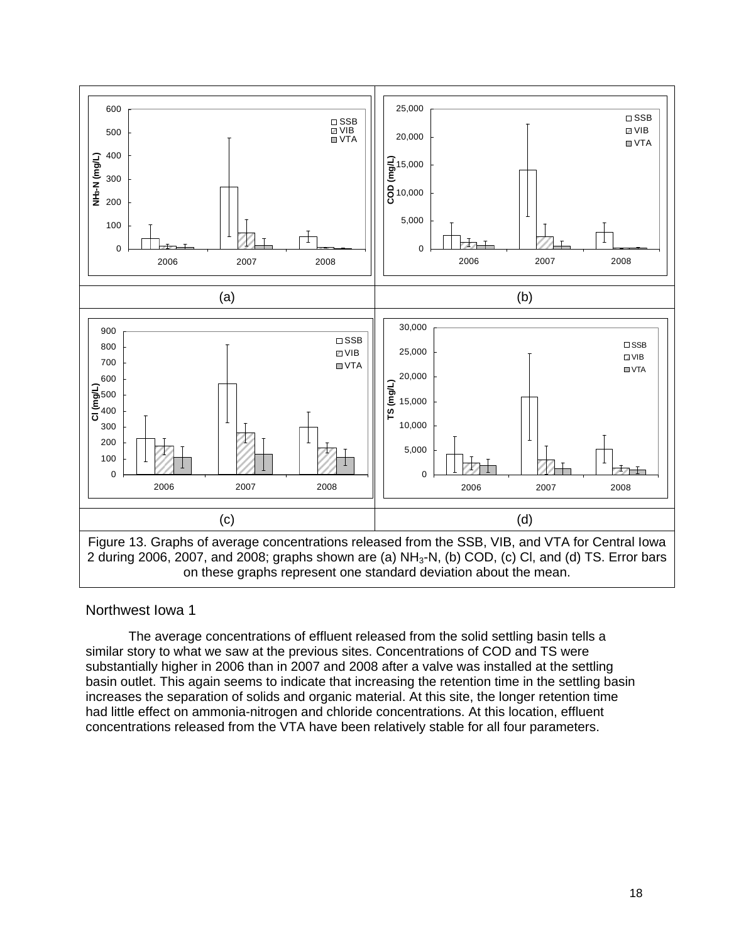

Northwest Iowa 1

 The average concentrations of effluent released from the solid settling basin tells a similar story to what we saw at the previous sites. Concentrations of COD and TS were substantially higher in 2006 than in 2007 and 2008 after a valve was installed at the settling basin outlet. This again seems to indicate that increasing the retention time in the settling basin increases the separation of solids and organic material. At this site, the longer retention time had little effect on ammonia-nitrogen and chloride concentrations. At this location, effluent concentrations released from the VTA have been relatively stable for all four parameters.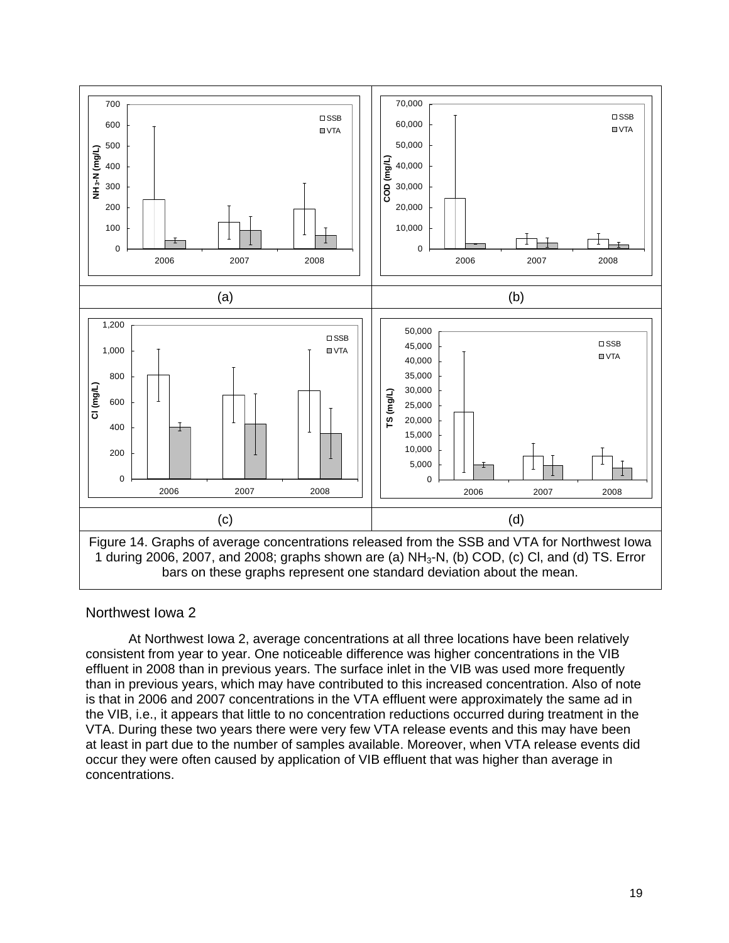

### Northwest Iowa 2

 At Northwest Iowa 2, average concentrations at all three locations have been relatively consistent from year to year. One noticeable difference was higher concentrations in the VIB effluent in 2008 than in previous years. The surface inlet in the VIB was used more frequently than in previous years, which may have contributed to this increased concentration. Also of note is that in 2006 and 2007 concentrations in the VTA effluent were approximately the same ad in the VIB, i.e., it appears that little to no concentration reductions occurred during treatment in the VTA. During these two years there were very few VTA release events and this may have been at least in part due to the number of samples available. Moreover, when VTA release events did occur they were often caused by application of VIB effluent that was higher than average in concentrations.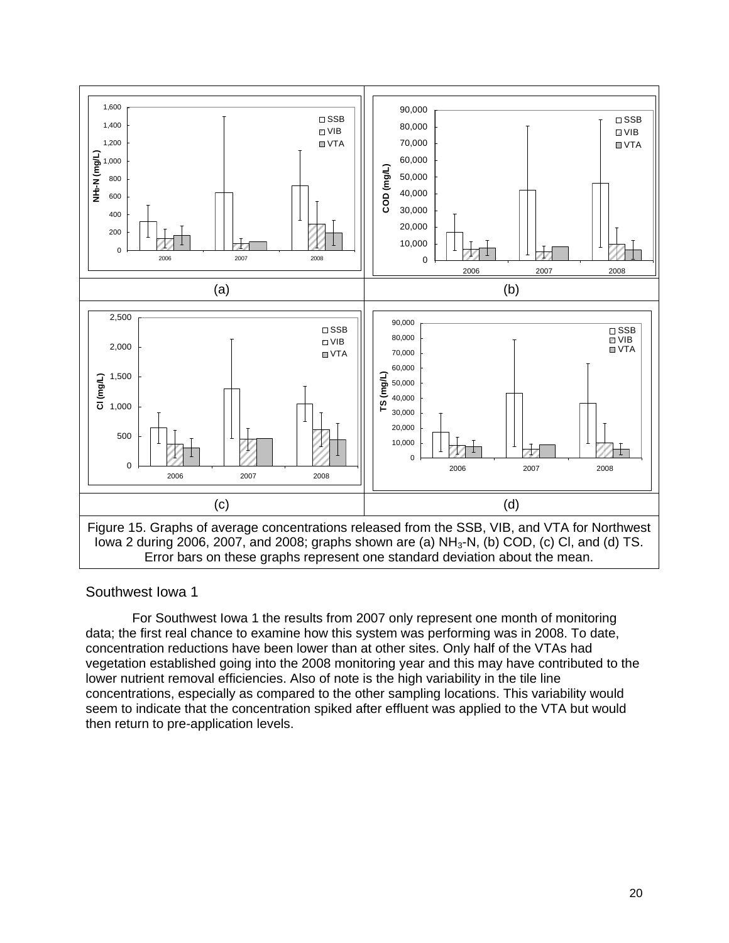

Southwest Iowa 1

 For Southwest Iowa 1 the results from 2007 only represent one month of monitoring data; the first real chance to examine how this system was performing was in 2008. To date, concentration reductions have been lower than at other sites. Only half of the VTAs had vegetation established going into the 2008 monitoring year and this may have contributed to the lower nutrient removal efficiencies. Also of note is the high variability in the tile line concentrations, especially as compared to the other sampling locations. This variability would seem to indicate that the concentration spiked after effluent was applied to the VTA but would then return to pre-application levels.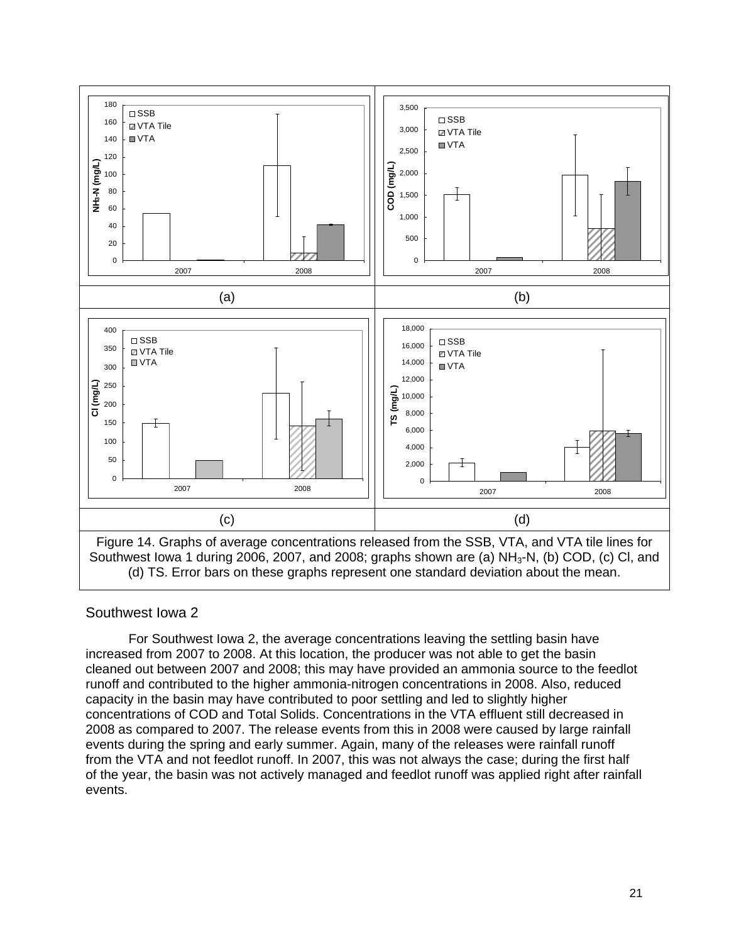

(d) TS. Error bars on these graphs represent one standard deviation about the mean.

### Southwest Iowa 2

 For Southwest Iowa 2, the average concentrations leaving the settling basin have increased from 2007 to 2008. At this location, the producer was not able to get the basin cleaned out between 2007 and 2008; this may have provided an ammonia source to the feedlot runoff and contributed to the higher ammonia-nitrogen concentrations in 2008. Also, reduced capacity in the basin may have contributed to poor settling and led to slightly higher concentrations of COD and Total Solids. Concentrations in the VTA effluent still decreased in 2008 as compared to 2007. The release events from this in 2008 were caused by large rainfall events during the spring and early summer. Again, many of the releases were rainfall runoff from the VTA and not feedlot runoff. In 2007, this was not always the case; during the first half of the year, the basin was not actively managed and feedlot runoff was applied right after rainfall events.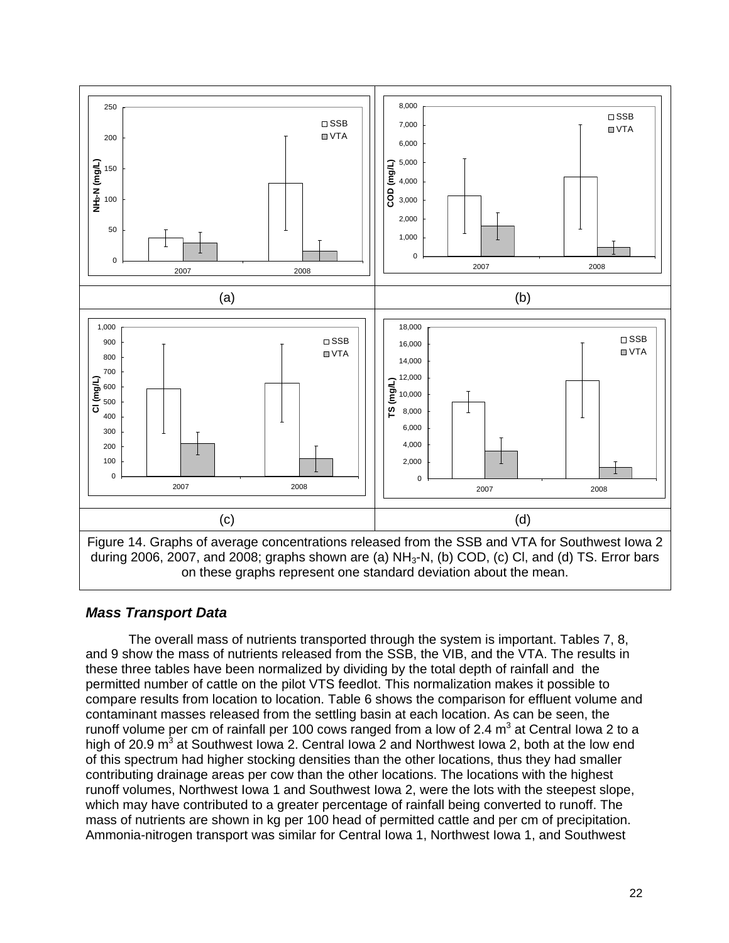

## *Mass Transport Data*

 The overall mass of nutrients transported through the system is important. Tables 7, 8, and 9 show the mass of nutrients released from the SSB, the VIB, and the VTA. The results in these three tables have been normalized by dividing by the total depth of rainfall and the permitted number of cattle on the pilot VTS feedlot. This normalization makes it possible to compare results from location to location. Table 6 shows the comparison for effluent volume and contaminant masses released from the settling basin at each location. As can be seen, the runoff volume per cm of rainfall per 100 cows ranged from a low of 2.4  $m<sup>3</sup>$  at Central lowa 2 to a high of 20.9 m<sup>3</sup> at Southwest Iowa 2. Central Iowa 2 and Northwest Iowa 2, both at the low end of this spectrum had higher stocking densities than the other locations, thus they had smaller contributing drainage areas per cow than the other locations. The locations with the highest runoff volumes, Northwest Iowa 1 and Southwest Iowa 2, were the lots with the steepest slope, which may have contributed to a greater percentage of rainfall being converted to runoff. The mass of nutrients are shown in kg per 100 head of permitted cattle and per cm of precipitation. Ammonia-nitrogen transport was similar for Central Iowa 1, Northwest Iowa 1, and Southwest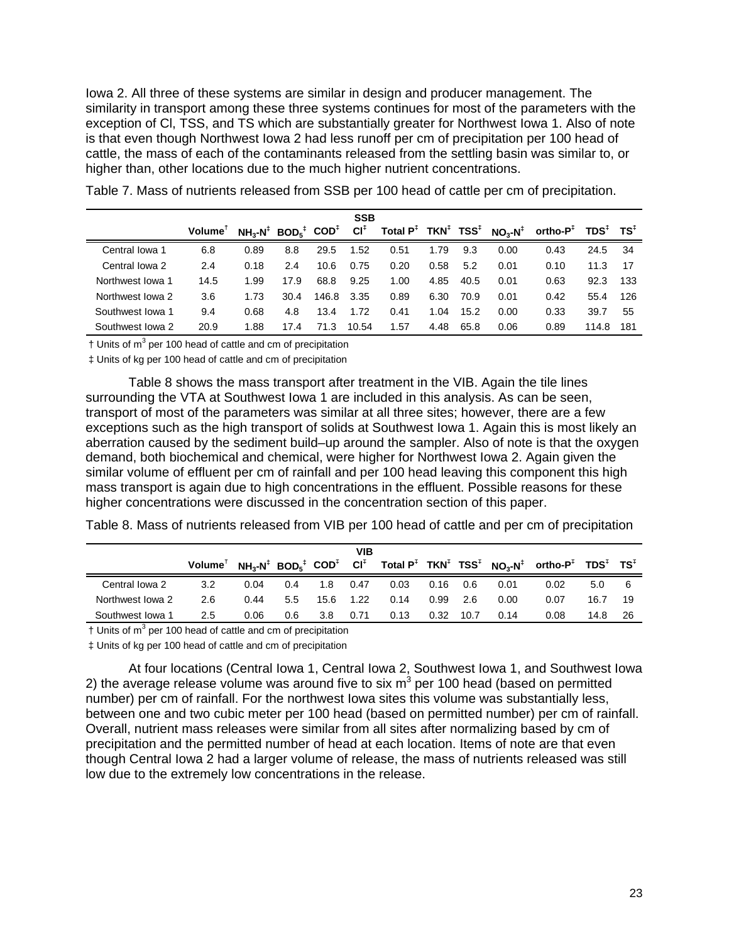Iowa 2. All three of these systems are similar in design and producer management. The similarity in transport among these three systems continues for most of the parameters with the exception of Cl, TSS, and TS which are substantially greater for Northwest Iowa 1. Also of note is that even though Northwest Iowa 2 had less runoff per cm of precipitation per 100 head of cattle, the mass of each of the contaminants released from the settling basin was similar to, or higher than, other locations due to the much higher nutrient concentrations.

|                  |         |                                                         |      |       | <b>SSB</b> |                                                                                                                                                    |      |      |      |                                                        |       |     |
|------------------|---------|---------------------------------------------------------|------|-------|------------|----------------------------------------------------------------------------------------------------------------------------------------------------|------|------|------|--------------------------------------------------------|-------|-----|
|                  | Volume' | $NH3-N‡$ BOD <sub>5</sub> <sup>‡</sup> COD <sup>‡</sup> |      |       | $Cl+$      | Total $P^{\ddagger}$ TKN <sup><math>\ddagger</math></sup> TSS <sup><math>\ddagger</math></sup> NO <sub>3</sub> -N <sup><math>\ddagger</math></sup> |      |      |      | ortho- $P^{\ddagger}$ TDS <sup>‡</sup> TS <sup>‡</sup> |       |     |
| Central Iowa 1   | 6.8     | 0.89                                                    | 8.8  | 29.5  | 1.52       | 0.51                                                                                                                                               | 1.79 | 9.3  | 0.00 | 0.43                                                   | 24.5  | -34 |
| Central lowa 2   | 2.4     | 0.18                                                    | 2.4  | 10.6  | 0.75       | 0.20                                                                                                                                               | 0.58 | 5.2  | 0.01 | 0.10                                                   | 11.3  | -17 |
| Northwest Iowa 1 | 14.5    | 1.99                                                    | 17.9 | 68.8  | 9.25       | 1.00                                                                                                                                               | 4.85 | 40.5 | 0.01 | 0.63                                                   | 92.3  | 133 |
| Northwest Iowa 2 | 3.6     | 1.73                                                    | 30.4 | 146.8 | 3.35       | 0.89                                                                                                                                               | 6.30 | 70.9 | 0.01 | 0.42                                                   | 55.4  | 126 |
| Southwest lowa 1 | 9.4     | 0.68                                                    | 4.8  | 13.4  | 1.72       | 0.41                                                                                                                                               | 1.04 | 15.2 | 0.00 | 0.33                                                   | 39.7  | 55  |
| Southwest lowa 2 | 20.9    | 1.88                                                    | 17.4 | 71.3  | 10.54      | 1.57                                                                                                                                               | 4.48 | 65.8 | 0.06 | 0.89                                                   | 114.8 | 181 |

Table 7. Mass of nutrients released from SSB per 100 head of cattle per cm of precipitation.

 $\dagger$  Units of m<sup>3</sup> per 100 head of cattle and cm of precipitation

‡ Units of kg per 100 head of cattle and cm of precipitation

 Table 8 shows the mass transport after treatment in the VIB. Again the tile lines surrounding the VTA at Southwest Iowa 1 are included in this analysis. As can be seen, transport of most of the parameters was similar at all three sites; however, there are a few exceptions such as the high transport of solids at Southwest Iowa 1. Again this is most likely an aberration caused by the sediment build–up around the sampler. Also of note is that the oxygen demand, both biochemical and chemical, were higher for Northwest Iowa 2. Again given the similar volume of effluent per cm of rainfall and per 100 head leaving this component this high mass transport is again due to high concentrations in the effluent. Possible reasons for these higher concentrations were discussed in the concentration section of this paper.

|                  |     |      |     |      | VIB  |      |      |      |      |                                                                                                                                                                                                                                                                 |      |    |
|------------------|-----|------|-----|------|------|------|------|------|------|-----------------------------------------------------------------------------------------------------------------------------------------------------------------------------------------------------------------------------------------------------------------|------|----|
|                  |     |      |     |      |      |      |      |      |      | Volume <sup>†</sup> NH <sub>3</sub> -N <sup>‡</sup> BOD <sub>5</sub> <sup>†</sup> COD <sup>†</sup> CI <sup>†</sup> Total P <sup>‡</sup> TKN <sup>‡</sup> TSS <sup>†</sup> NO <sub>3</sub> -N <sup>‡</sup> ortho-P <sup>‡</sup> TDS <sup>†</sup> TS <sup>†</sup> |      |    |
| Central Iowa 2   | 3.2 | 0.04 | 0.4 | 1.8  | 0.47 | 0.03 | 0.16 | 0.6  | 0.01 | 0.02                                                                                                                                                                                                                                                            | 5.0  |    |
| Northwest Iowa 2 | 2.6 | 0.44 | 5.5 | 15.6 | 1.22 | 0.14 | 0.99 | 2.6  | 0.00 | 0.07                                                                                                                                                                                                                                                            | 16.7 | 19 |
| Southwest lowa 1 | 2.5 | 0.06 | 0.6 | 3.8  | 0.71 | 0.13 | 0.32 | 10.7 | 0.14 | 0.08                                                                                                                                                                                                                                                            | 14.8 | 26 |

Table 8. Mass of nutrients released from VIB per 100 head of cattle and per cm of precipitation

 $\dagger$  Units of m<sup>3</sup> per 100 head of cattle and cm of precipitation

‡ Units of kg per 100 head of cattle and cm of precipitation

At four locations (Central Iowa 1, Central Iowa 2, Southwest Iowa 1, and Southwest Iowa 2) the average release volume was around five to six  $m<sup>3</sup>$  per 100 head (based on permitted number) per cm of rainfall. For the northwest Iowa sites this volume was substantially less, between one and two cubic meter per 100 head (based on permitted number) per cm of rainfall. Overall, nutrient mass releases were similar from all sites after normalizing based by cm of precipitation and the permitted number of head at each location. Items of note are that even though Central Iowa 2 had a larger volume of release, the mass of nutrients released was still low due to the extremely low concentrations in the release.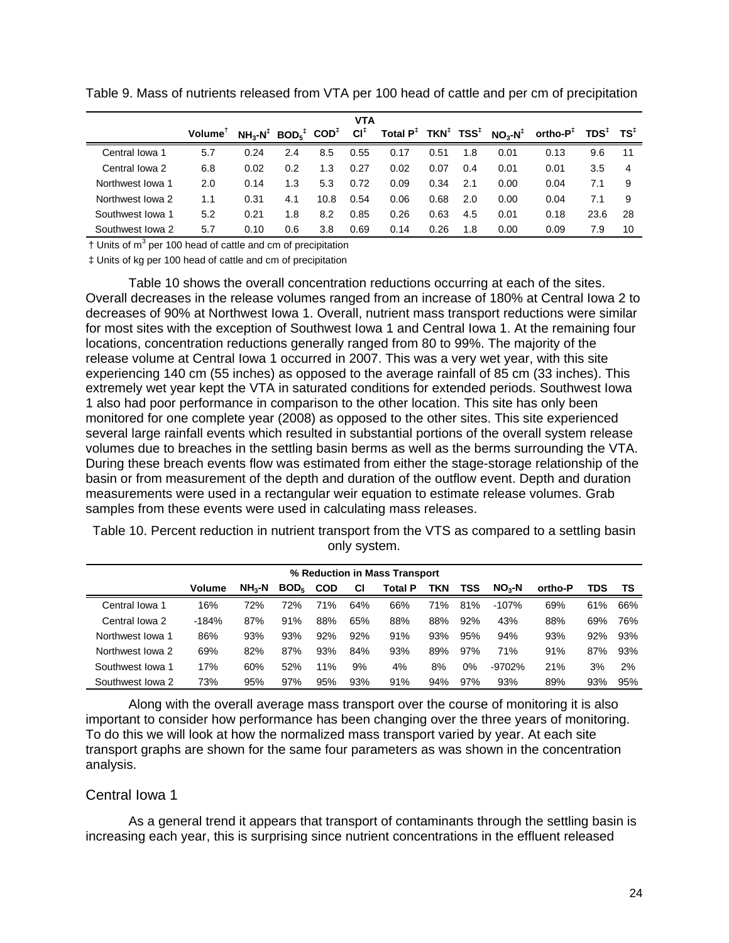| <b>VTA</b>       |         |                                                         |     |      |                 |                                                                                                                                                    |      |     |      |                                                        |      |    |
|------------------|---------|---------------------------------------------------------|-----|------|-----------------|----------------------------------------------------------------------------------------------------------------------------------------------------|------|-----|------|--------------------------------------------------------|------|----|
|                  | Volume' | $NH3-N‡$ BOD <sub>5</sub> <sup>‡</sup> COD <sup>‡</sup> |     |      | Cl <sub>1</sub> | Total $P^{\ddagger}$ TKN <sup><math>\ddagger</math></sup> TSS <sup><math>\ddagger</math></sup> NO <sub>3</sub> -N <sup><math>\ddagger</math></sup> |      |     |      | ortho- $P^{\ddagger}$ TDS <sup>‡</sup> TS <sup>‡</sup> |      |    |
| Central Iowa 1   | 5.7     | 0.24                                                    | 2.4 | 8.5  | 0.55            | 0.17                                                                                                                                               | 0.51 | 1.8 | 0.01 | 0.13                                                   | 9.6  | 11 |
| Central lowa 2   | 6.8     | 0.02                                                    | 0.2 | 1.3  | 0.27            | 0.02                                                                                                                                               | 0.07 | 0.4 | 0.01 | 0.01                                                   | 3.5  | 4  |
| Northwest Iowa 1 | 2.0     | 0.14                                                    | 1.3 | 5.3  | 0.72            | 0.09                                                                                                                                               | 0.34 | 2.1 | 0.00 | 0.04                                                   | 7.1  | 9  |
| Northwest Iowa 2 | 1.1     | 0.31                                                    | 4.1 | 10.8 | 0.54            | 0.06                                                                                                                                               | 0.68 | 2.0 | 0.00 | 0.04                                                   | 7.1  | 9  |
| Southwest lowa 1 | 5.2     | 0.21                                                    | 1.8 | 8.2  | 0.85            | 0.26                                                                                                                                               | 0.63 | 4.5 | 0.01 | 0.18                                                   | 23.6 | 28 |
| Southwest lowa 2 | 5.7     | 0.10                                                    | 0.6 | 3.8  | 0.69            | 0.14                                                                                                                                               | 0.26 | 1.8 | 0.00 | 0.09                                                   | 7.9  | 10 |

Table 9. Mass of nutrients released from VTA per 100 head of cattle and per cm of precipitation

 $\dagger$  Units of m<sup>3</sup> per 100 head of cattle and cm of precipitation

‡ Units of kg per 100 head of cattle and cm of precipitation

 Table 10 shows the overall concentration reductions occurring at each of the sites. Overall decreases in the release volumes ranged from an increase of 180% at Central Iowa 2 to decreases of 90% at Northwest Iowa 1. Overall, nutrient mass transport reductions were similar for most sites with the exception of Southwest Iowa 1 and Central Iowa 1. At the remaining four locations, concentration reductions generally ranged from 80 to 99%. The majority of the release volume at Central Iowa 1 occurred in 2007. This was a very wet year, with this site experiencing 140 cm (55 inches) as opposed to the average rainfall of 85 cm (33 inches). This extremely wet year kept the VTA in saturated conditions for extended periods. Southwest Iowa 1 also had poor performance in comparison to the other location. This site has only been monitored for one complete year (2008) as opposed to the other sites. This site experienced several large rainfall events which resulted in substantial portions of the overall system release volumes due to breaches in the settling basin berms as well as the berms surrounding the VTA. During these breach events flow was estimated from either the stage-storage relationship of the basin or from measurement of the depth and duration of the outflow event. Depth and duration measurements were used in a rectangular weir equation to estimate release volumes. Grab samples from these events were used in calculating mass releases.

| Table 10. Percent reduction in nutrient transport from the VTS as compared to a settling basin |  |
|------------------------------------------------------------------------------------------------|--|
| only system.                                                                                   |  |

|                  | % Reduction in Mass Transport |             |            |     |     |                |     |     |          |         |     |     |  |  |
|------------------|-------------------------------|-------------|------------|-----|-----|----------------|-----|-----|----------|---------|-----|-----|--|--|
|                  | Volume                        | $NH_{3}$ -N | <b>BOD</b> | COD | СI  | <b>Total P</b> | TKN | TSS | $NO3-N$  | ortho-P | TDS | ТS  |  |  |
| Central Iowa 1   | 16%                           | 72%         | 72%        | 71% | 64% | 66%            | 71% | 81% | $-107%$  | 69%     | 61% | 66% |  |  |
| Central Iowa 2   | $-184%$                       | 87%         | 91%        | 88% | 65% | 88%            | 88% | 92% | 43%      | 88%     | 69% | 76% |  |  |
| Northwest Iowa 1 | 86%                           | 93%         | 93%        | 92% | 92% | 91%            | 93% | 95% | 94%      | 93%     | 92% | 93% |  |  |
| Northwest Iowa 2 | 69%                           | 82%         | 87%        | 93% | 84% | 93%            | 89% | 97% | 71%      | 91%     | 87% | 93% |  |  |
| Southwest lowa 1 | 17%                           | 60%         | 52%        | 11% | 9%  | 4%             | 8%  | 0%  | $-9702%$ | 21%     | 3%  | 2%  |  |  |
| Southwest Iowa 2 | 73%                           | 95%         | 97%        | 95% | 93% | 91%            | 94% | 97% | 93%      | 89%     | 93% | 95% |  |  |

Along with the overall average mass transport over the course of monitoring it is also important to consider how performance has been changing over the three years of monitoring. To do this we will look at how the normalized mass transport varied by year. At each site transport graphs are shown for the same four parameters as was shown in the concentration analysis.

### Central Iowa 1

 As a general trend it appears that transport of contaminants through the settling basin is increasing each year, this is surprising since nutrient concentrations in the effluent released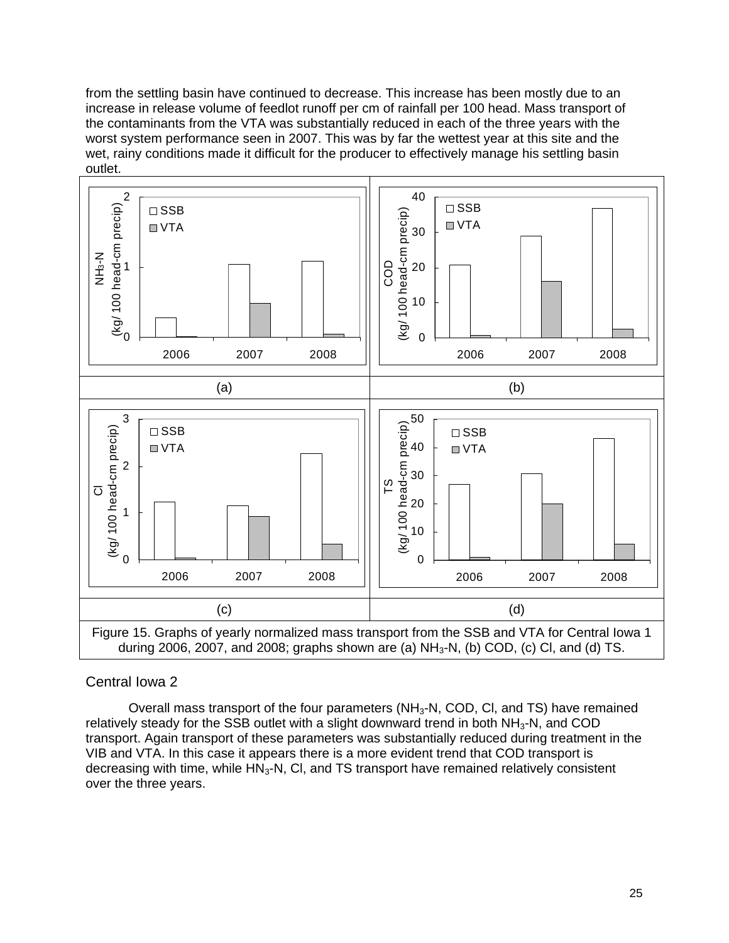from the settling basin have continued to decrease. This increase has been mostly due to an increase in release volume of feedlot runoff per cm of rainfall per 100 head. Mass transport of the contaminants from the VTA was substantially reduced in each of the three years with the worst system performance seen in 2007. This was by far the wettest year at this site and the wet, rainy conditions made it difficult for the producer to effectively manage his settling basin outlet.



## Central Iowa 2

 Overall mass transport of the four parameters (NH3-N, COD, Cl, and TS) have remained relatively steady for the SSB outlet with a slight downward trend in both  $NH<sub>3</sub>-N$ , and COD transport. Again transport of these parameters was substantially reduced during treatment in the VIB and VTA. In this case it appears there is a more evident trend that COD transport is decreasing with time, while  $HN<sub>3</sub>-N$ , CI, and TS transport have remained relatively consistent over the three years.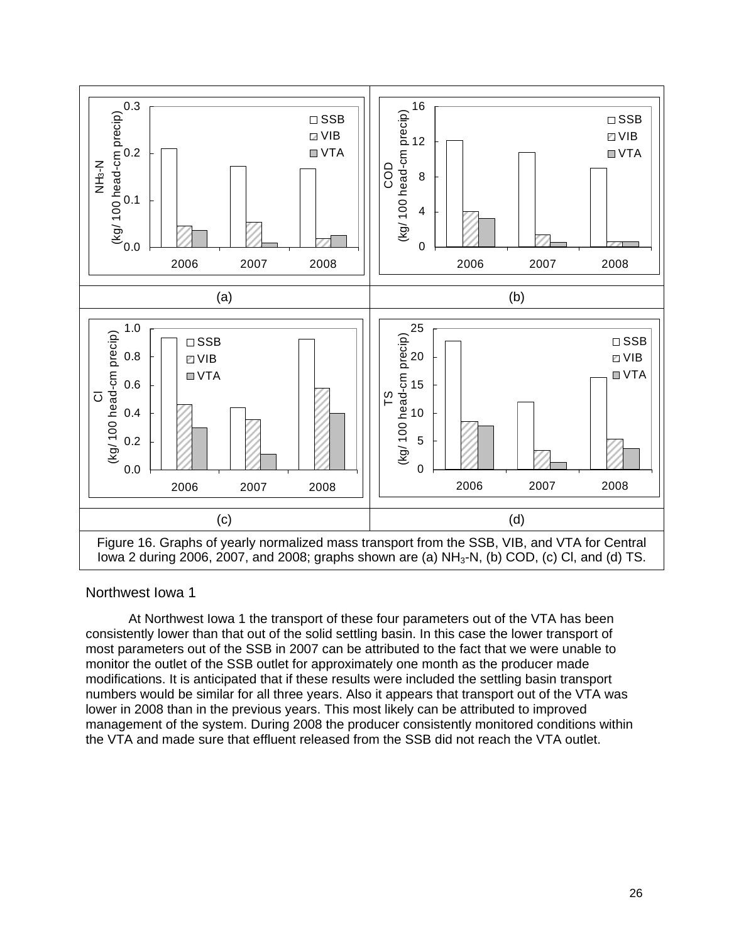

### Northwest Iowa 1

 At Northwest Iowa 1 the transport of these four parameters out of the VTA has been consistently lower than that out of the solid settling basin. In this case the lower transport of most parameters out of the SSB in 2007 can be attributed to the fact that we were unable to monitor the outlet of the SSB outlet for approximately one month as the producer made modifications. It is anticipated that if these results were included the settling basin transport numbers would be similar for all three years. Also it appears that transport out of the VTA was lower in 2008 than in the previous years. This most likely can be attributed to improved management of the system. During 2008 the producer consistently monitored conditions within the VTA and made sure that effluent released from the SSB did not reach the VTA outlet.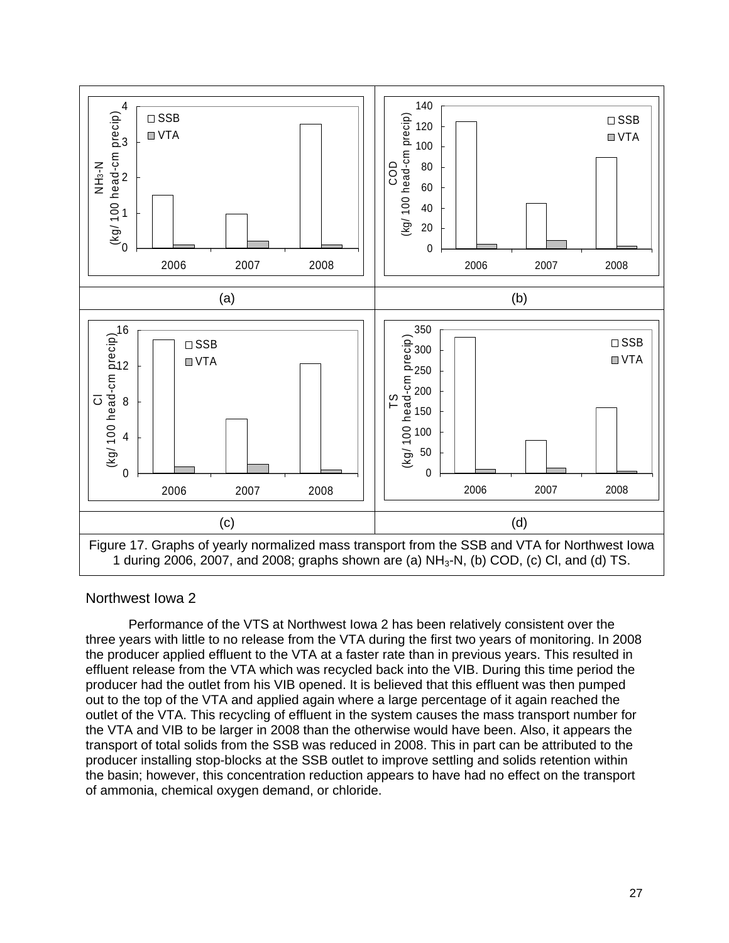

Northwest Iowa 2

 Performance of the VTS at Northwest Iowa 2 has been relatively consistent over the three years with little to no release from the VTA during the first two years of monitoring. In 2008 the producer applied effluent to the VTA at a faster rate than in previous years. This resulted in effluent release from the VTA which was recycled back into the VIB. During this time period the producer had the outlet from his VIB opened. It is believed that this effluent was then pumped out to the top of the VTA and applied again where a large percentage of it again reached the outlet of the VTA. This recycling of effluent in the system causes the mass transport number for the VTA and VIB to be larger in 2008 than the otherwise would have been. Also, it appears the transport of total solids from the SSB was reduced in 2008. This in part can be attributed to the producer installing stop-blocks at the SSB outlet to improve settling and solids retention within the basin; however, this concentration reduction appears to have had no effect on the transport of ammonia, chemical oxygen demand, or chloride.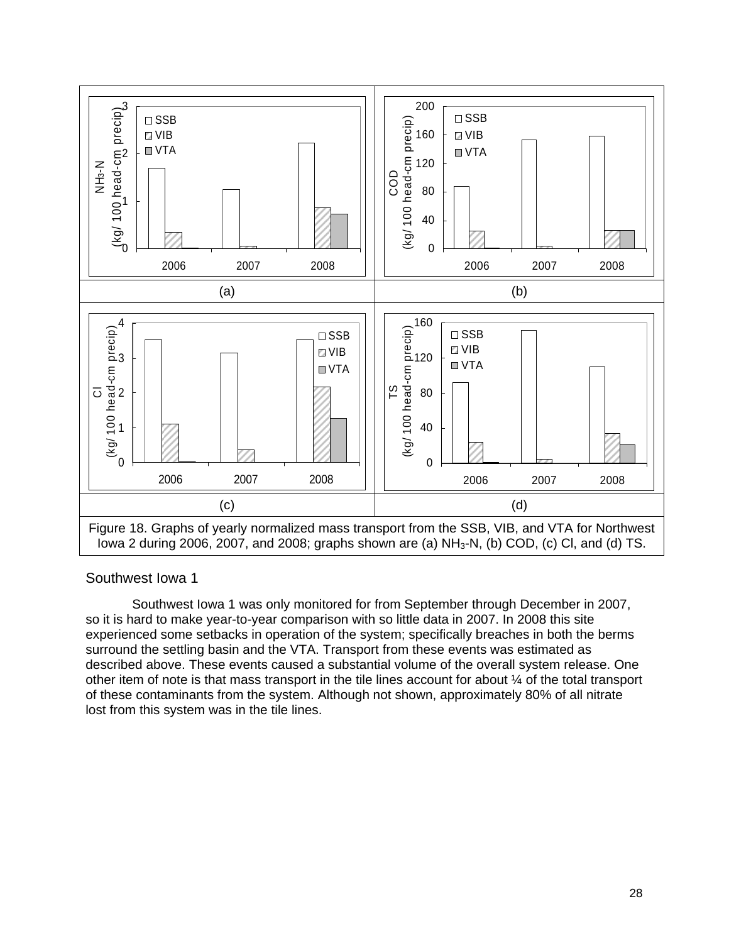

### Southwest Iowa 1

 Southwest Iowa 1 was only monitored for from September through December in 2007, so it is hard to make year-to-year comparison with so little data in 2007. In 2008 this site experienced some setbacks in operation of the system; specifically breaches in both the berms surround the settling basin and the VTA. Transport from these events was estimated as described above. These events caused a substantial volume of the overall system release. One other item of note is that mass transport in the tile lines account for about ¼ of the total transport of these contaminants from the system. Although not shown, approximately 80% of all nitrate lost from this system was in the tile lines.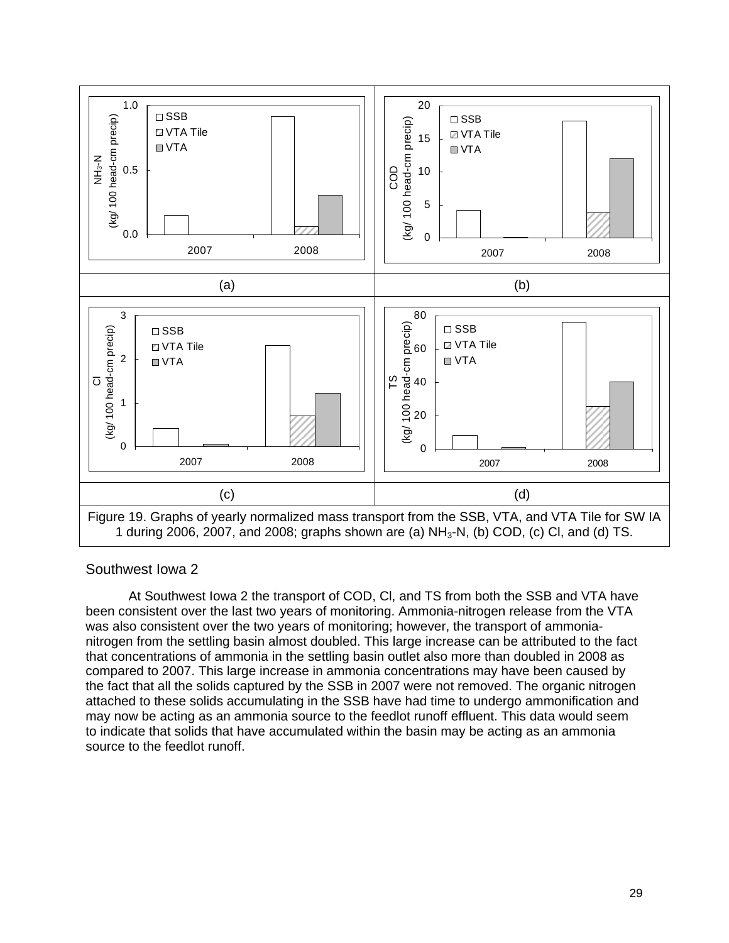

### Southwest Iowa 2

 At Southwest Iowa 2 the transport of COD, Cl, and TS from both the SSB and VTA have been consistent over the last two years of monitoring. Ammonia-nitrogen release from the VTA was also consistent over the two years of monitoring; however, the transport of ammonianitrogen from the settling basin almost doubled. This large increase can be attributed to the fact that concentrations of ammonia in the settling basin outlet also more than doubled in 2008 as compared to 2007. This large increase in ammonia concentrations may have been caused by the fact that all the solids captured by the SSB in 2007 were not removed. The organic nitrogen attached to these solids accumulating in the SSB have had time to undergo ammonification and may now be acting as an ammonia source to the feedlot runoff effluent. This data would seem to indicate that solids that have accumulated within the basin may be acting as an ammonia source to the feedlot runoff.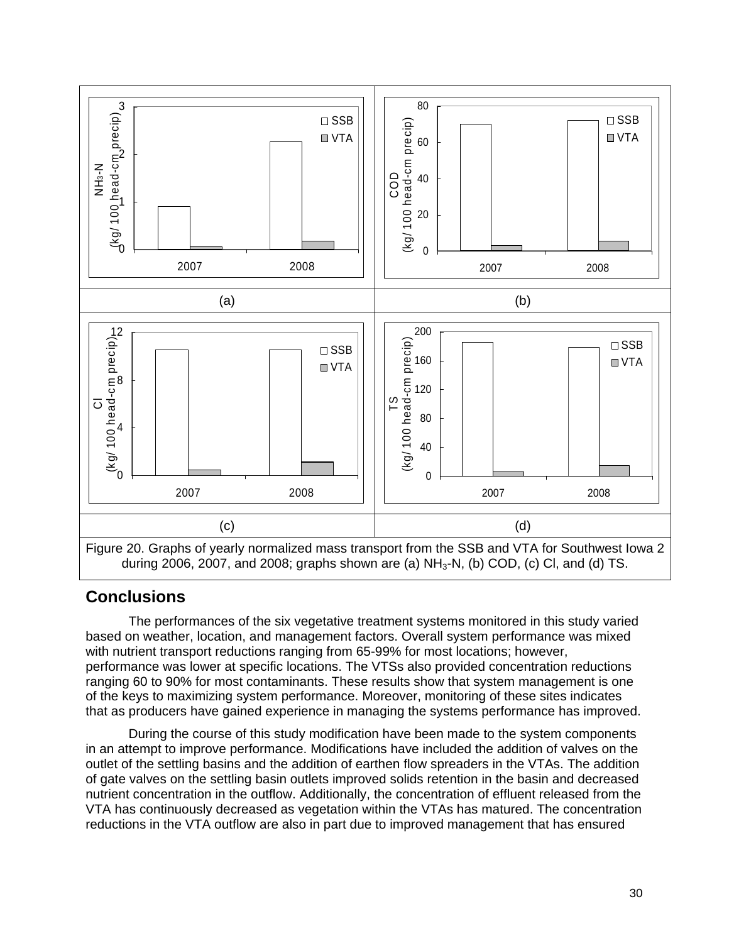

# **Conclusions**

The performances of the six vegetative treatment systems monitored in this study varied based on weather, location, and management factors. Overall system performance was mixed with nutrient transport reductions ranging from 65-99% for most locations; however, performance was lower at specific locations. The VTSs also provided concentration reductions ranging 60 to 90% for most contaminants. These results show that system management is one of the keys to maximizing system performance. Moreover, monitoring of these sites indicates that as producers have gained experience in managing the systems performance has improved.

During the course of this study modification have been made to the system components in an attempt to improve performance. Modifications have included the addition of valves on the outlet of the settling basins and the addition of earthen flow spreaders in the VTAs. The addition of gate valves on the settling basin outlets improved solids retention in the basin and decreased nutrient concentration in the outflow. Additionally, the concentration of effluent released from the VTA has continuously decreased as vegetation within the VTAs has matured. The concentration reductions in the VTA outflow are also in part due to improved management that has ensured